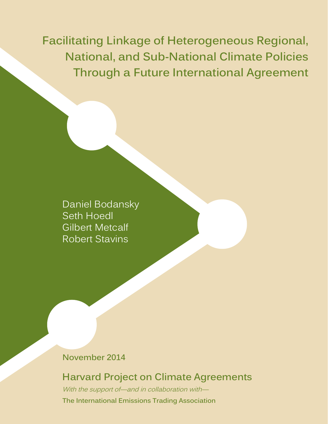**Facilitating Linkage of Heterogeneous Regional, National, and Sub-National Climate Policies Through a Future International Agreement**

Daniel Bodansky Seth Hoedl Gilbert Metcalf Robert Stavins

**November 2014**

# **Harvard Project on Climate Agreements**

With the support of—and in collaboration with— **The International Emissions Trading Association**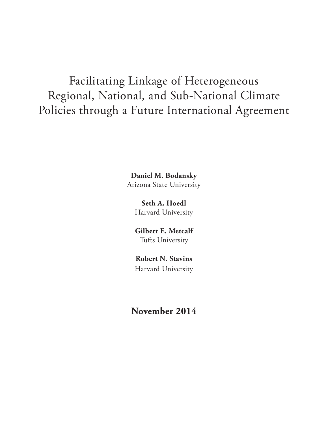# Facilitating Linkage of Heterogeneous Regional, National, and Sub-National Climate Policies through a Future International Agreement

**Daniel M. Bodansky**

Arizona State University

**Seth A. Hoedl** Harvard University

**Gilbert E. Metcalf** Tufts University

# **Robert N. Stavins** Harvard University

**November 2014**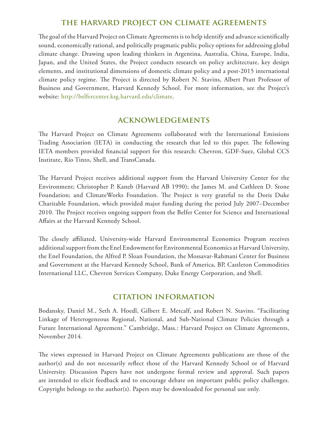# **the harvard project on climate agreements**

The goal of the Harvard Project on Climate Agreements is to help identify and advance scientifically sound, economically rational, and politically pragmatic public policy options for addressing global climate change. Drawing upon leading thinkers in Argentina, Australia, China, Europe, India, Japan, and the United States, the Project conducts research on policy architecture, key design elements, and institutional dimensions of domestic climate policy and a post-2015 international climate policy regime. The Project is directed by Robert N. Stavins, Albert Pratt Professor of Business and Government, Harvard Kennedy School. For more information, see the Project's website: [http://belfercenter.ksg.harvard.edu/climate.](http://belfercenter.ksg.harvard.edu/project/56/harvard_project_on_climate_agreements.html)

# **acknowledgements**

The Harvard Project on Climate Agreements collaborated with the International Emissions Trading Association (IETA) in conducting the research that led to this paper. The following IETA members provided financial support for this research: Chevron, GDF-Suez, Global CCS Institute, Rio Tinto, Shell, and TransCanada.

The Harvard Project receives additional support from the Harvard University Center for the Environment; Christopher P. Kaneb (Harvard AB 1990); the James M. and Cathleen D. Stone Foundation; and ClimateWorks Foundation. The Project is very grateful to the Doris Duke Charitable Foundation, which provided major funding during the period July 2007–December 2010. The Project receives ongoing support from the Belfer Center for Science and International Affairs at the Harvard Kennedy School.

The closely affiliated, University-wide Harvard Environmental Economics Program receives additional support from the Enel Endowment for Environmental Economics at Harvard University, the Enel Foundation, the Alfred P. Sloan Foundation, the Mossavar-Rahmani Center for Business and Government at the Harvard Kennedy School, Bank of America, BP, Castleton Commodities International LLC, Chevron Services Company, Duke Energy Corporation, and Shell.

### **citation information**

Bodansky, Daniel M., Seth A. Hoedl, Gilbert E. Metcalf, and Robert N. Stavins. "Facilitating Linkage of Heterogeneous Regional, National, and Sub-National Climate Policies through a Future International Agreement." Cambridge, Mass.: Harvard Project on Climate Agreements, November 2014.

The views expressed in Harvard Project on Climate Agreements publications are those of the author(s) and do not necessarily reflect those of the Harvard Kennedy School or of Harvard University. Discussion Papers have not undergone formal review and approval. Such papers are intended to elicit feedback and to encourage debate on important public policy challenges. Copyright belongs to the author(s). Papers may be downloaded for personal use only.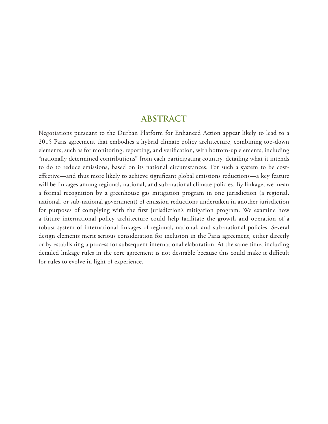# **ABSTRACT**

Negotiations pursuant to the Durban Platform for Enhanced Action appear likely to lead to a 2015 Paris agreement that embodies a hybrid climate policy architecture, combining top-down elements, such as for monitoring, reporting, and verification, with bottom-up elements, including "nationally determined contributions" from each participating country, detailing what it intends to do to reduce emissions, based on its national circumstances. For such a system to be costeffective—and thus more likely to achieve significant global emissions reductions—a key feature will be linkages among regional, national, and sub-national climate policies. By linkage, we mean a formal recognition by a greenhouse gas mitigation program in one jurisdiction (a regional, national, or sub-national government) of emission reductions undertaken in another jurisdiction for purposes of complying with the first jurisdiction's mitigation program. We examine how a future international policy architecture could help facilitate the growth and operation of a robust system of international linkages of regional, national, and sub-national policies. Several design elements merit serious consideration for inclusion in the Paris agreement, either directly or by establishing a process for subsequent international elaboration. At the same time, including detailed linkage rules in the core agreement is not desirable because this could make it difficult for rules to evolve in light of experience.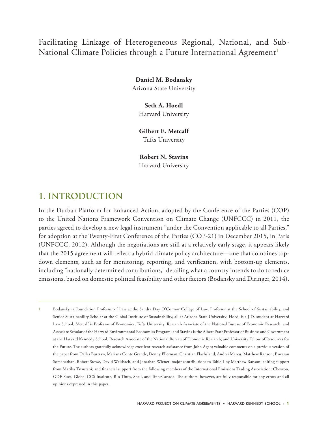Facilitating Linkage of Heterogeneous Regional, National, and Sub-National Climate Policies through a Future International Agreement<sup>1</sup>

> **Daniel M. Bodansky** Arizona State University

> > **Seth A. Hoedl** Harvard University

**Gilbert E. Metcalf** Tufts University

**Robert N. Stavins** Harvard University

# **1. INTRODUCTION**

In the Durban Platform for Enhanced Action, adopted by the Conference of the Parties (COP) to the United Nations Framework Convention on Climate Change (UNFCCC) in 2011, the parties agreed to develop a new legal instrument "under the Convention applicable to all Parties," for adoption at the Twenty-First Conference of the Parties (COP-21) in December 2015, in Paris (UNFCCC, 2012). Although the negotiations are still at a relatively early stage, it appears likely that the 2015 agreement will reflect a hybrid climate policy architecture—one that combines topdown elements, such as for monitoring, reporting, and verification, with bottom-up elements, including "nationally determined contributions," detailing what a country intends to do to reduce emissions, based on domestic political feasibility and other factors (Bodansky and Diringer, 2014).

<sup>1</sup> Bodansky is Foundation Professor of Law at the Sandra Day O'Connor College of Law, Professor at the School of Sustainability, and Senior Sustainability Scholar at the Global Institute of Sustainability, all at Arizona State University; Hoedl is a J.D. student at Harvard Law School; Metcalf is Professor of Economics, Tufts University, Research Associate of the National Bureau of Economic Research, and Associate Scholar of the Harvard Environmental Economics Program; and Stavins is the Albert Pratt Professor of Business and Government at the Harvard Kennedy School, Research Associate of the National Bureau of Economic Research, and University Fellow of Resources for the Future. The authors gratefully acknowledge excellent research assistance from John Agan; valuable comments on a previous version of the paper from Dallas Burtraw, Mariana Conte Grande, Denny Ellerman, Christian Flachsland, Andrei Marcu, Matthew Ranson, Eswaran Somanathan, Robert Stowe, David Weisbach, and Jonathan Wiener; major contributions to Table 1 by Matthew Ranson; editing support from Marika Tatsutani; and financial support from the following members of the International Emissions Trading Association: Chevron, GDF-Suez, Global CCS Institute, Rio Tinto, Shell, and TransCanada. The authors, however, are fully responsible for any errors and all opinions expressed in this paper.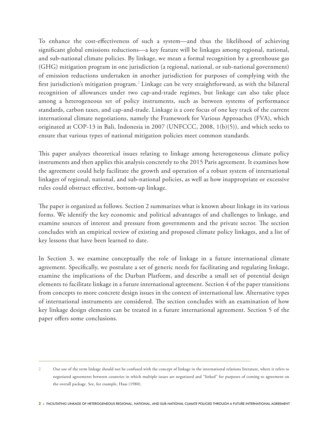To enhance the cost-effectiveness of such a system—and thus the likelihood of achieving significant global emissions reductions—a key feature will be linkages among regional, national, and sub-national climate policies. By linkage, we mean a formal recognition by a greenhouse gas (GHG) mitigation program in one jurisdiction (a regional, national, or sub-national government) of emission reductions undertaken in another jurisdiction for purposes of complying with the first jurisdiction's mitigation program.<sup>2</sup> Linkage can be very straightforward, as with the bilateral recognition of allowances under two cap-and-trade regimes, but linkage can also take place among a heterogeneous set of policy instruments, such as between systems of performance standards, carbon taxes, and cap-and-trade. Linkage is a core focus of one key track of the current international climate negotiations, namely the Framework for Various Approaches (FVA), which originated at COP-13 in Bali, Indonesia in 2007 (UNFCCC, 2008, 1(b)(5)), and which seeks to ensure that various types of national mitigation policies meet common standards.

This paper analyzes theoretical issues relating to linkage among heterogeneous climate policy instruments and then applies this analysis concretely to the 2015 Paris agreement. It examines how the agreement could help facilitate the growth and operation of a robust system of international linkages of regional, national, and sub-national policies, as well as how inappropriate or excessive rules could obstruct effective, bottom-up linkage.

The paper is organized as follows. Section 2 summarizes what is known about linkage in its various forms. We identify the key economic and political advantages of and challenges to linkage, and examine sources of interest and pressure from governments and the private sector. The section concludes with an empirical review of existing and proposed climate policy linkages, and a list of key lessons that have been learned to date.

In Section 3, we examine conceptually the role of linkage in a future international climate agreement. Specifically, we postulate a set of generic needs for facilitating and regulating linkage, examine the implications of the Durban Platform, and describe a small set of potential design elements to facilitate linkage in a future international agreement. Section 4 of the paper transitions from concepts to more concrete design issues in the context of international law. Alternative types of international instruments are considered. The section concludes with an examination of how key linkage design elements can be treated in a future international agreement. Section 5 of the paper offers some conclusions.

<sup>2</sup> Our use of the term linkage should not be confused with the concept of linkage in the international relations literature, where it refers to negotiated agreements between countries in which multiple issues are negotiated and "linked" for purposes of coming to agreement on the overall package. See, for example, Haas (1980).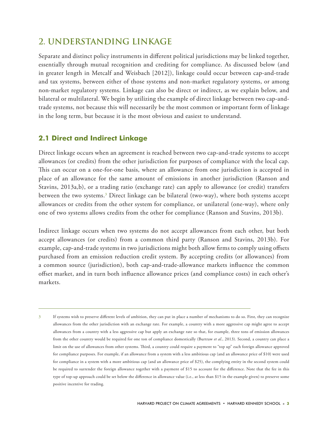# **2. UNDERSTANDING LINKAGE**

Separate and distinct policy instruments in different political jurisdictions may be linked together, essentially through mutual recognition and crediting for compliance. As discussed below (and in greater length in Metcalf and Weisbach [2012]), linkage could occur between cap-and-trade and tax systems, between either of those systems and non-market regulatory systems, or among non-market regulatory systems. Linkage can also be direct or indirect, as we explain below, and bilateral or multilateral. We begin by utilizing the example of direct linkage between two cap-andtrade systems, not because this will necessarily be the most common or important form of linkage in the long term, but because it is the most obvious and easiest to understand.

#### **2.1 Direct and Indirect Linkage**

Direct linkage occurs when an agreement is reached between two cap-and-trade systems to accept allowances (or credits) from the other jurisdiction for purposes of compliance with the local cap. This can occur on a one-for-one basis, where an allowance from one jurisdiction is accepted in place of an allowance for the same amount of emissions in another jurisdiction (Ranson and Stavins, 2013a,b), or a trading ratio (exchange rate) can apply to allowance (or credit) transfers between the two systems.<sup>3</sup> Direct linkage can be bilateral (two-way), where both systems accept allowances or credits from the other system for compliance, or unilateral (one-way), where only one of two systems allows credits from the other for compliance (Ranson and Stavins, 2013b).

Indirect linkage occurs when two systems do not accept allowances from each other, but both accept allowances (or credits) from a common third party (Ranson and Stavins, 2013b). For example, cap-and-trade systems in two jurisdictions might both allow firms to comply using offsets purchased from an emission reduction credit system. By accepting credits (or allowances) from a common source (jurisdiction), both cap-and-trade-allowance markets influence the common offset market, and in turn both influence allowance prices (and compliance costs) in each other's markets.

<sup>3</sup> If systems wish to preserve different levels of ambition, they can put in place a number of mechanisms to do so. First, they can recognize allowances from the other jurisdiction with an exchange rate. For example, a country with a more aggressive cap might agree to accept allowances from a country with a less aggressive cap but apply an exchange rate so that, for example, three tons of emission allowances from the other country would be required for one ton of compliance domestically (Burtraw *et al.*, 2013). Second, a country can place a limit on the use of allowances from other systems. Third, a country could require a payment to "top up" each foreign allowance approved for compliance purposes. For example, if an allowance from a system with a less ambitious cap (and an allowance price of \$10) were used for compliance in a system with a more ambitious cap (and an allowance price of \$25), the complying entity in the second system could be required to surrender the foreign allowance together with a payment of \$15 to account for the difference. Note that the fee in this type of top-up approach could be set below the difference in allowance value (i.e., at less than \$15 in the example given) to preserve some positive incentive for trading.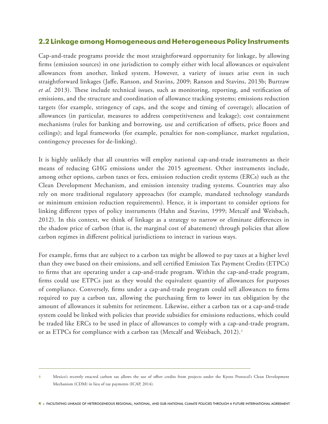#### **2.2 Linkage among Homogeneous and Heterogeneous Policy Instruments**

Cap-and-trade programs provide the most straightforward opportunity for linkage, by allowing firms (emission sources) in one jurisdiction to comply either with local allowances or equivalent allowances from another, linked system. However, a variety of issues arise even in such straightforward linkages (Jaffe, Ranson, and Stavins, 2009; Ranson and Stavins, 2013b; Burtraw *et al.* 2013). These include technical issues, such as monitoring, reporting, and verification of emissions, and the structure and coordination of allowance tracking systems; emissions reduction targets (for example, stringency of caps, and the scope and timing of coverage); allocation of allowances (in particular, measures to address competitiveness and leakage); cost containment mechanisms (rules for banking and borrowing, use and certification of offsets, price floors and ceilings); and legal frameworks (for example, penalties for non-compliance, market regulation, contingency processes for de-linking).

It is highly unlikely that all countries will employ national cap-and-trade instruments as their means of reducing GHG emissions under the 2015 agreement. Other instruments include, among other options, carbon taxes or fees, emission reduction credit systems (ERCs) such as the Clean Development Mechanism, and emission intensity trading systems. Countries may also rely on more traditional regulatory approaches (for example, mandated technology standards or minimum emission reduction requirements). Hence, it is important to consider options for linking different types of policy instruments (Hahn and Stavins, 1999; Metcalf and Weisbach, 2012). In this context, we think of linkage as a strategy to narrow or eliminate differences in the shadow price of carbon (that is, the marginal cost of abatement) through policies that allow carbon regimes in different political jurisdictions to interact in various ways.

For example, firms that are subject to a carbon tax might be allowed to pay taxes at a higher level than they owe based on their emissions, and sell certified Emission Tax Payment Credits (ETPCs) to firms that are operating under a cap-and-trade program. Within the cap-and-trade program, firms could use ETPCs just as they would the equivalent quantity of allowances for purposes of compliance. Conversely, firms under a cap-and-trade program could sell allowances to firms required to pay a carbon tax, allowing the purchasing firm to lower its tax obligation by the amount of allowances it submits for retirement. Likewise, either a carbon tax or a cap-and-trade system could be linked with policies that provide subsidies for emissions reductions, which could be traded like ERCs to be used in place of allowances to comply with a cap-and-trade program, or as ETPCs for compliance with a carbon tax (Metcalf and Weisbach, 2012).<sup>4</sup>

<sup>4</sup> Mexico's recently enacted carbon tax allows the use of offset credits from projects under the Kyoto Protocol's Clean Development Mechanism (CDM) in lieu of tax payments (ICAP, 2014).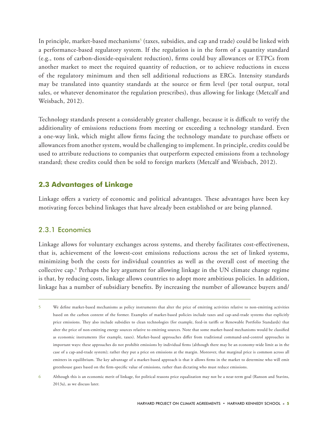In principle, market-based mechanisms $^{\mathfrak{z}}$  (taxes, subsidies, and cap and trade) could be linked with a performance-based regulatory system. If the regulation is in the form of a quantity standard (e.g., tons of carbon-dioxide-equivalent reduction), firms could buy allowances or ETPCs from another market to meet the required quantity of reduction, or to achieve reductions in excess of the regulatory minimum and then sell additional reductions as ERCs. Intensity standards may be translated into quantity standards at the source or firm level (per total output, total sales, or whatever denominator the regulation prescribes), thus allowing for linkage (Metcalf and Weisbach, 2012).

Technology standards present a considerably greater challenge, because it is difficult to verify the additionality of emissions reductions from meeting or exceeding a technology standard. Even a one-way link, which might allow firms facing the technology mandate to purchase offsets or allowances from another system, would be challenging to implement. In principle, credits could be used to attribute reductions to companies that outperform expected emissions from a technology standard; these credits could then be sold to foreign markets (Metcalf and Weisbach, 2012).

### **2.3 Advantages of Linkage**

Linkage offers a variety of economic and political advantages. These advantages have been key motivating forces behind linkages that have already been established or are being planned.

#### 2.3.1 Economics

Linkage allows for voluntary exchanges across systems, and thereby facilitates cost-effectiveness, that is, achievement of the lowest-cost emissions reductions across the set of linked systems, minimizing both the costs for individual countries as well as the overall cost of meeting the collective cap.<sup>6</sup> Perhaps the key argument for allowing linkage in the UN climate change regime is that, by reducing costs, linkage allows countries to adopt more ambitious policies. In addition, linkage has a number of subsidiary benefits. By increasing the number of allowance buyers and/

<sup>5</sup> We define market-based mechanisms as policy instruments that alter the price of emitting activities relative to non-emitting activities based on the carbon content of the former. Examples of market-based policies include taxes and cap-and-trade systems that explicitly price emissions. They also include subsidies to clean technologies (for example, feed-in tariffs or Renewable Portfolio Standards) that alter the price of non-emitting energy sources relative to emitting sources. Note that some market-based mechanisms would be classified as economic instruments (for example, taxes). Market-based approaches differ from traditional command-and-control approaches in important ways: these approaches do not prohibit emissions by individual firms (although there may be an economy-wide limit as in the case of a cap-and-trade system); rather they put a price on emissions at the margin. Moreover, that marginal price is common across all emitters in equilibrium. The key advantage of a market-based approach is that it allows firms in the market to determine who will emit greenhouse gases based on the firm-specific value of emissions, rather than dictating who must reduce emissions.

<sup>6</sup> Although this is an economic merit of linkage, for political reasons price equalization may not be a near-term goal (Ranson and Stavins, 2013a), as we discuss later.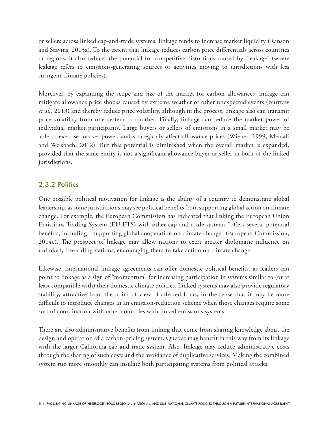or sellers across linked cap-and-trade systems, linkage tends to increase market liquidity (Ranson and Stavins, 2013a). To the extent that linkage reduces carbon price differentials across countries or regions, it also reduces the potential for competitive distortions caused by "leakage" (where leakage refers to emissions-generating sources or activities moving to jurisdictions with less stringent climate policies).

Moreover, by expanding the scope and size of the market for carbon allowances, linkage can mitigate allowance price shocks caused by extreme weather or other unexpected events (Burtraw *et al.*, 2013) and thereby reduce price volatility, although in the process, linkage also can transmit price volatility from one system to another. Finally, linkage can reduce the market power of individual market participants. Large buyers or sellers of emissions in a small market may be able to exercise market power, and strategically affect allowance prices (Wiener, 1999, Metcalf and Weisbach, 2012). But this potential is diminished when the overall market is expanded, provided that the same entity is not a significant allowance buyer or seller in both of the linked jurisdictions.

#### 2.3.2 Politics

One possible political motivation for linkage is the ability of a country to demonstrate global leadership, as some jurisdictions may see political benefits from supporting global action on climate change. For example, the European Commission has indicated that linking the European Union Emissions Trading System (EU ETS) with other cap-and-trade systems "offers several potential benefits, including…supporting global cooperation on climate change" (European Commission, 2014c). The prospect of linkage may allow nations to exert greater diplomatic influence on unlinked, free-riding nations, encouraging them to take action on climate change.

Likewise, international linkage agreements can offer domestic political benefits, as leaders can point to linkage as a sign of "momentum" for increasing participation in systems similar to (or at least compatible with) their domestic climate policies. Linked systems may also provide regulatory stability, attractive from the point of view of affected firms, in the sense that it may be more difficult to introduce changes in an emission-reduction scheme when those changes require some sort of coordination with other countries with linked emissions systems.

There are also administrative benefits from linking that come from sharing knowledge about the design and operation of a carbon-pricing system. Quebec may benefit in this way from its linkage with the larger California cap-and-trade system. Also, linkage may reduce administrative costs through the sharing of such costs and the avoidance of duplicative services. Making the combined system run more smoothly can insulate both participating systems from political attacks.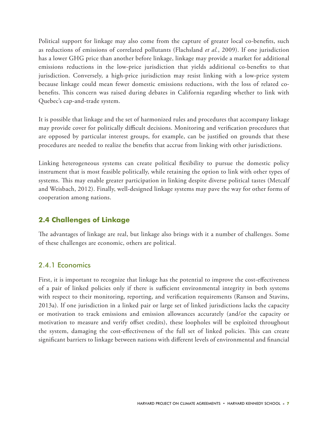Political support for linkage may also come from the capture of greater local co-benefits, such as reductions of emissions of correlated pollutants (Flachsland *et al.*, 2009). If one jurisdiction has a lower GHG price than another before linkage, linkage may provide a market for additional emissions reductions in the low-price jurisdiction that yields additional co-benefits to that jurisdiction. Conversely, a high-price jurisdiction may resist linking with a low-price system because linkage could mean fewer domestic emissions reductions, with the loss of related cobenefits. This concern was raised during debates in California regarding whether to link with Quebec's cap-and-trade system.

It is possible that linkage and the set of harmonized rules and procedures that accompany linkage may provide cover for politically difficult decisions. Monitoring and verification procedures that are opposed by particular interest groups, for example, can be justified on grounds that these procedures are needed to realize the benefits that accrue from linking with other jurisdictions.

Linking heterogeneous systems can create political flexibility to pursue the domestic policy instrument that is most feasible politically, while retaining the option to link with other types of systems. This may enable greater participation in linking despite diverse political tastes (Metcalf and Weisbach, 2012). Finally, well-designed linkage systems may pave the way for other forms of cooperation among nations.

### **2.4 Challenges of Linkage**

The advantages of linkage are real, but linkage also brings with it a number of challenges. Some of these challenges are economic, others are political.

#### 2.4.1 Economics

First, it is important to recognize that linkage has the potential to improve the cost-effectiveness of a pair of linked policies only if there is sufficient environmental integrity in both systems with respect to their monitoring, reporting, and verification requirements (Ranson and Stavins, 2013a). If one jurisdiction in a linked pair or large set of linked jurisdictions lacks the capacity or motivation to track emissions and emission allowances accurately (and/or the capacity or motivation to measure and verify offset credits), these loopholes will be exploited throughout the system, damaging the cost-effectiveness of the full set of linked policies. This can create significant barriers to linkage between nations with different levels of environmental and financial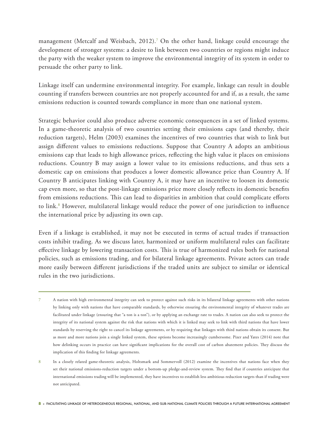management (Metcalf and Weisbach, 2012).7 On the other hand, linkage could encourage the development of stronger systems: a desire to link between two countries or regions might induce the party with the weaker system to improve the environmental integrity of its system in order to persuade the other party to link.

Linkage itself can undermine environmental integrity. For example, linkage can result in double counting if transfers between countries are not properly accounted for and if, as a result, the same emissions reduction is counted towards compliance in more than one national system.

Strategic behavior could also produce adverse economic consequences in a set of linked systems. In a game-theoretic analysis of two countries setting their emissions caps (and thereby, their reduction targets), Helm (2003) examines the incentives of two countries that wish to link but assign different values to emissions reductions. Suppose that Country A adopts an ambitious emissions cap that leads to high allowance prices, reflecting the high value it places on emissions reductions. Country B may assign a lower value to its emissions reductions, and thus sets a domestic cap on emissions that produces a lower domestic allowance price than Country A. If Country B anticipates linking with Country A, it may have an incentive to loosen its domestic cap even more, so that the post-linkage emissions price more closely reflects its domestic benefits from emissions reductions. This can lead to disparities in ambition that could complicate efforts to link.<sup>8</sup> However, multilateral linkage would reduce the power of one jurisdiction to influence the international price by adjusting its own cap.

Even if a linkage is established, it may not be executed in terms of actual trades if transaction costs inhibit trading. As we discuss later, harmonized or uniform multilateral rules can facilitate effective linkage by lowering transaction costs. This is true of harmonized rules both for national policies, such as emissions trading, and for bilateral linkage agreements. Private actors can trade more easily between different jurisdictions if the traded units are subject to similar or identical rules in the two jurisdictions.

- 7 A nation with high environmental integrity can seek to protect against such risks in its bilateral linkage agreements with other nations by linking only with nations that have comparable standards, by otherwise ensuring the environmental integrity of whatever trades are facilitated under linkage (ensuring that "a ton is a ton"), or by applying an exchange rate to trades. A nation can also seek to protect the integrity of its national system against the risk that nations with which it is linked may seek to link with third nations that have lower standards by reserving the right to cancel its linkage agreements, or by requiring that linkages with third nations obtain its consent. But as more and more nations join a single linked system, these options become increasingly cumbersome. Pizer and Yates (2014) note that how delinking occurs in practice can have significant implications for the overall cost of carbon abatement policies. They discuss the implication of this finding for linkage agreements.
- 8 In a closely related game-theoretic analysis, Holtsmark and Sommervoll (2012) examine the incentives that nations face when they set their national emissions-reduction targets under a bottom-up pledge-and-review system. They find that if countries anticipate that international emissions trading will be implemented, they have incentives to establish less ambitious reduction targets than if trading were not anticipated.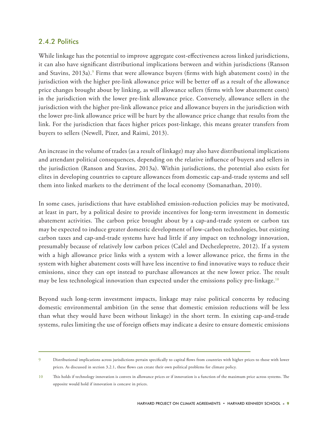#### 2.4.2 Politics

While linkage has the potential to improve aggregate cost-effectiveness across linked jurisdictions, it can also have significant distributional implications between and within jurisdictions (Ranson and Stavins, 2013a).<sup>9</sup> Firms that were allowance buyers (firms with high abatement costs) in the jurisdiction with the higher pre-link allowance price will be better off as a result of the allowance price changes brought about by linking, as will allowance sellers (firms with low abatement costs) in the jurisdiction with the lower pre-link allowance price. Conversely, allowance sellers in the jurisdiction with the higher pre-link allowance price and allowance buyers in the jurisdiction with the lower pre-link allowance price will be hurt by the allowance price change that results from the link. For the jurisdiction that faces higher prices post-linkage, this means greater transfers from buyers to sellers (Newell, Pizer, and Raimi, 2013).

An increase in the volume of trades (as a result of linkage) may also have distributional implications and attendant political consequences, depending on the relative influence of buyers and sellers in the jurisdiction (Ranson and Stavins, 2013a). Within jurisdictions, the potential also exists for elites in developing countries to capture allowances from domestic cap-and-trade systems and sell them into linked markets to the detriment of the local economy (Somanathan, 2010).

In some cases, jurisdictions that have established emission-reduction policies may be motivated, at least in part, by a political desire to provide incentives for long-term investment in domestic abatement activities. The carbon price brought about by a cap-and-trade system or carbon tax may be expected to induce greater domestic development of low-carbon technologies, but existing carbon taxes and cap-and-trade systems have had little if any impact on technology innovation, presumably because of relatively low carbon prices (Calel and Dechezlepretre, 2012). If a system with a high allowance price links with a system with a lower allowance price, the firms in the system with higher abatement costs will have less incentive to find innovative ways to reduce their emissions, since they can opt instead to purchase allowances at the new lower price. The result may be less technological innovation than expected under the emissions policy pre-linkage.<sup>10</sup>

Beyond such long-term investment impacts, linkage may raise political concerns by reducing domestic environmental ambition (in the sense that domestic emission reductions will be less than what they would have been without linkage) in the short term. In existing cap-and-trade systems, rules limiting the use of foreign offsets may indicate a desire to ensure domestic emissions

<sup>9</sup> Distributional implications across jurisdictions pertain specifically to capital flows from countries with higher prices to those with lower prices. As discussed in section 3.2.1, these flows can create their own political problems for climate policy.

<sup>10</sup> This holds if technology innovation is convex in allowance prices or if innovation is a function of the maximum price across systems. The opposite would hold if innovation is concave in prices.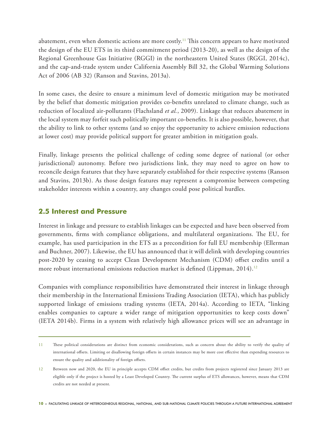abatement, even when domestic actions are more costly.<sup>11</sup> This concern appears to have motivated the design of the EU ETS in its third commitment period (2013-20), as well as the design of the Regional Greenhouse Gas Initiative (RGGI) in the northeastern United States (RGGI, 2014c), and the cap-and-trade system under California Assembly Bill 32, the Global Warming Solutions Act of 2006 (AB 32) (Ranson and Stavins, 2013a).

In some cases, the desire to ensure a minimum level of domestic mitigation may be motivated by the belief that domestic mitigation provides co-benefits unrelated to climate change, such as reduction of localized air-pollutants (Flachsland *et al.*, 2009). Linkage that reduces abatement in the local system may forfeit such politically important co-benefits. It is also possible, however, that the ability to link to other systems (and so enjoy the opportunity to achieve emission reductions at lower cost) may provide political support for greater ambition in mitigation goals.

Finally, linkage presents the political challenge of ceding some degree of national (or other jurisdictional) autonomy. Before two jurisdictions link, they may need to agree on how to reconcile design features that they have separately established for their respective systems (Ranson and Stavins, 2013b). As those design features may represent a compromise between competing stakeholder interests within a country, any changes could pose political hurdles.

#### **2.5 Interest and Pressure**

Interest in linkage and pressure to establish linkages can be expected and have been observed from governments, firms with compliance obligations, and multilateral organizations. The EU, for example, has used participation in the ETS as a precondition for full EU membership (Ellerman and Buchner, 2007). Likewise, the EU has announced that it will delink with developing countries post-2020 by ceasing to accept Clean Development Mechanism (CDM) offset credits until a more robust international emissions reduction market is defined (Lippman,  $2014$ ).<sup>12</sup>

Companies with compliance responsibilities have demonstrated their interest in linkage through their membership in the International Emissions Trading Association (IETA), which has publicly supported linkage of emissions trading systems (IETA, 2014a). According to IETA, "linking enables companies to capture a wider range of mitigation opportunities to keep costs down" (IETA 2014b). Firms in a system with relatively high allowance prices will see an advantage in

<sup>11</sup> These political considerations are distinct from economic considerations, such as concern about the ability to verify the quality of international offsets. Limiting or disallowing foreign offsets in certain instances may be more cost effective than expending resources to ensure the quality and additionality of foreign offsets.

<sup>12</sup> Between now and 2020, the EU in principle accepts CDM offset credits, but credits from projects registered since January 2013 are eligible only if the project is hosted by a Least Developed Country. The current surplus of ETS allowances, however, means that CDM credits are not needed at present.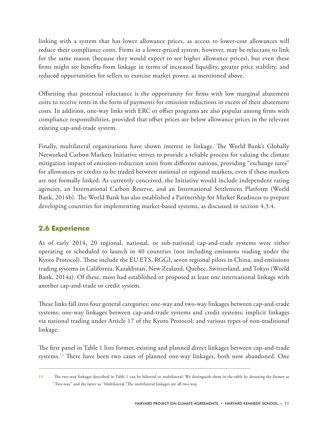linking with a system that has lower allowance prices, as access to lower-cost allowances will reduce their compliance costs. Firms in a lower-priced system, however, may be reluctant to link for the same reason (because they would expect to see higher allowance prices), but even these firms might see benefits from linkage in terms of increased liquidity, greater price stability, and reduced opportunities for sellers to exercise market power, as mentioned above.

Offsetting that potential reluctance is the opportunity for firms with low marginal abatement costs to receive rents in the form of payments for emission reductions in excess of their abatement costs. In addition, one-way links with ERC or offset programs are also popular among firms with compliance responsibilities, provided that offset prices are below allowance prices in the relevant existing cap-and-trade system.

Finally, multilateral organizations have shown interest in linkage. The World Bank's Globally Networked Carbon Markets Initiative strives to provide a reliable process for valuing the climate mitigation impact of emission-reduction units from different nations, providing "exchange rates" for allowances or credits to be traded between national or regional markets, even if these markets are not formally linked. As currently conceived, the Initiative would include independent rating agencies, an International Carbon Reserve, and an International Settlement Platform (World Bank, 2014b). The World Bank has also established a Partnership for Market Readiness to prepare developing countries for implementing market-based systems, as discussed in section 4.3.4.

# **2.6 Experience**

As of early 2014, 20 regional, national, or sub-national cap-and-trade systems were either operating or scheduled to launch in 40 countries (not including emissions trading under the Kyoto Protocol). These include the EU ETS, RGGI, seven regional pilots in China, and emissions trading systems in California, Kazakhstan, New Zealand, Quebec, Switzerland, and Tokyo (World Bank, 2014a). Of these, most had established or proposed at least one international linkage with another cap-and-trade or credit system.

These links fall into four general categories: one-way and two-way linkages between cap-and-trade systems; one-way linkages between cap-and-trade systems and credit systems; implicit linkages via national trading under Article 17 of the Kyoto Protocol; and various types of non-traditional linkage.

The first panel in Table 1 lists former, existing and planned direct linkages between cap-and-trade systems.<sup>13</sup> There have been two cases of planned one-way linkages, both now abandoned. One

<sup>13</sup> The two-way linkages described in Table 1 can be bilateral or multilateral. We distinguish them in the table by denoting the former as "Two-way" and the latter as "Multilateral."The multilateral linkages are all two-way.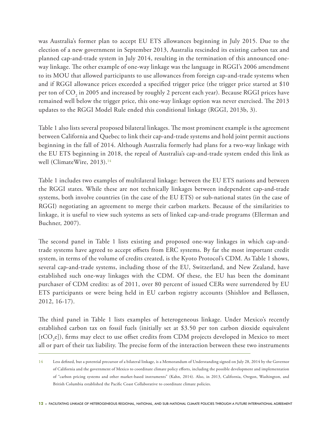was Australia's former plan to accept EU ETS allowances beginning in July 2015. Due to the election of a new government in September 2013, Australia rescinded its existing carbon tax and planned cap-and-trade system in July 2014, resulting in the termination of this announced oneway linkage. The other example of one-way linkage was the language in RGGI's 2006 amendment to its MOU that allowed participants to use allowances from foreign cap-and-trade systems when and if RGGI allowance prices exceeded a specified trigger price (the trigger price started at \$10 per ton of CO<sub>2</sub> in 2005 and increased by roughly 2 percent each year). Because RGGI prices have remained well below the trigger price, this one-way linkage option was never exercised. The 2013 updates to the RGGI Model Rule ended this conditional linkage (RGGI, 2013b, 3).

Table 1 also lists several proposed bilateral linkages. The most prominent example is the agreement between California and Quebec to link their cap-and-trade systems and hold joint permit auctions beginning in the fall of 2014. Although Australia formerly had plans for a two-way linkage with the EU ETS beginning in 2018, the repeal of Australia's cap-and-trade system ended this link as well (ClimateWire, 2013).<sup>14</sup>

Table 1 includes two examples of multilateral linkage: between the EU ETS nations and between the RGGI states. While these are not technically linkages between independent cap-and-trade systems, both involve countries (in the case of the EU ETS) or sub-national states (in the case of RGGI) negotiating an agreement to merge their carbon markets. Because of the similarities to linkage, it is useful to view such systems as sets of linked cap-and-trade programs (Ellerman and Buchner, 2007).

The second panel in Table 1 lists existing and proposed one-way linkages in which cap-andtrade systems have agreed to accept offsets from ERC systems. By far the most important credit system, in terms of the volume of credits created, is the Kyoto Protocol's CDM. As Table 1 shows, several cap-and-trade systems, including those of the EU, Switzerland, and New Zealand, have established such one-way linkages with the CDM. Of these, the EU has been the dominant purchaser of CDM credits: as of 2011, over 80 percent of issued CERs were surrendered by EU ETS participants or were being held in EU carbon registry accounts (Shishlov and Bellassen, 2012, 16-17).

The third panel in Table 1 lists examples of heterogeneous linkage. Under Mexico's recently established carbon tax on fossil fuels (initially set at \$3.50 per ton carbon dioxide equivalent [tCO<sub>2</sub>e]), firms may elect to use offset credits from CDM projects developed in Mexico to meet all or part of their tax liability. The precise form of the interaction between these two instruments

<sup>14</sup> Less defined, but a potential precursor of a bilateral linkage, is a Memorandum of Understanding signed on July 28, 2014 by the Governor of California and the government of Mexico to coordinate climate policy efforts, including the possible development and implementation of "carbon pricing systems and other market-based instruments" (Kahn, 2014). Also, in 2013, California, Oregon, Washington, and British Columbia established the Pacific Coast Collaborative to coordinate climate policies.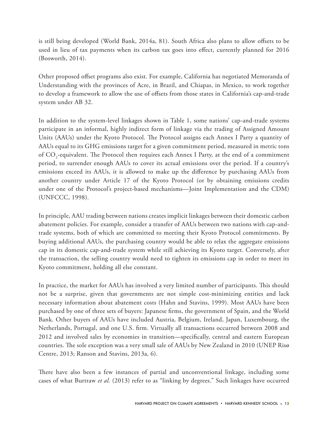is still being developed (World Bank, 2014a, 81). South Africa also plans to allow offsets to be used in lieu of tax payments when its carbon tax goes into effect, currently planned for 2016 (Bosworth, 2014).

Other proposed offset programs also exist. For example, California has negotiated Memoranda of Understanding with the provinces of Acre, in Brazil, and Chiapas, in Mexico, to work together to develop a framework to allow the use of offsets from those states in California's cap-and-trade system under AB 32.

In addition to the system-level linkages shown in Table 1, some nations' cap-and-trade systems participate in an informal, highly indirect form of linkage via the trading of Assigned Amount Units (AAUs) under the Kyoto Protocol. The Protocol assigns each Annex I Party a quantity of AAUs equal to its GHG emissions target for a given commitment period, measured in metric tons of  $\mathrm{CO}_2$ -equivalent. The Protocol then requires each Annex I Party, at the end of a commitment period, to surrender enough AAUs to cover its actual emissions over the period. If a country's emissions exceed its AAUs, it is allowed to make up the difference by purchasing AAUs from another country under Article 17 of the Kyoto Protocol (or by obtaining emissions credits under one of the Protocol's project-based mechanisms—Joint Implementation and the CDM) (UNFCCC, 1998).

In principle, AAU trading between nations creates implicit linkages between their domestic carbon abatement policies. For example, consider a transfer of AAUs between two nations with cap-andtrade systems, both of which are committed to meeting their Kyoto Protocol commitments. By buying additional AAUs, the purchasing country would be able to relax the aggregate emissions cap in its domestic cap-and-trade system while still achieving its Kyoto target. Conversely, after the transaction, the selling country would need to tighten its emissions cap in order to meet its Kyoto commitment, holding all else constant.

In practice, the market for AAUs has involved a very limited number of participants. This should not be a surprise, given that governments are not simple cost-minimizing entities and lack necessary information about abatement costs (Hahn and Stavins, 1999). Most AAUs have been purchased by one of three sets of buyers: Japanese firms, the government of Spain, and the World Bank. Other buyers of AAUs have included Austria, Belgium, Ireland, Japan, Luxembourg, the Netherlands, Portugal, and one U.S. firm. Virtually all transactions occurred between 2008 and 2012 and involved sales by economies in transition—specifically, central and eastern European countries. The sole exception was a very small sale of AAUs by New Zealand in 2010 (UNEP Risø Centre, 2013; Ranson and Stavins, 2013a, 6).

There have also been a few instances of partial and unconventional linkage, including some cases of what Burtraw *et al.* (2013) refer to as "linking by degrees." Such linkages have occurred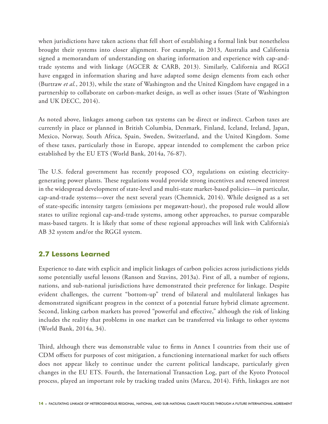when jurisdictions have taken actions that fell short of establishing a formal link but nonetheless brought their systems into closer alignment. For example, in 2013, Australia and California signed a memorandum of understanding on sharing information and experience with cap-andtrade systems and with linkage (AGCER & CARB, 2013). Similarly, California and RGGI have engaged in information sharing and have adapted some design elements from each other (Burtraw *et al.*, 2013), while the state of Washington and the United Kingdom have engaged in a partnership to collaborate on carbon-market design, as well as other issues (State of Washington and UK DECC, 2014).

As noted above, linkages among carbon tax systems can be direct or indirect. Carbon taxes are currently in place or planned in British Columbia, Denmark, Finland, Iceland, Ireland, Japan, Mexico, Norway, South Africa, Spain, Sweden, Switzerland, and the United Kingdom. Some of these taxes, particularly those in Europe, appear intended to complement the carbon price established by the EU ETS (World Bank, 2014a, 76-87).

The U.S. federal government has recently proposed  $\mathrm{CO}_2^{}$  regulations on existing electricitygenerating power plants. These regulations would provide strong incentives and renewed interest in the widespread development of state-level and multi-state market-based policies—in particular, cap-and-trade systems—over the next several years (Chemnick, 2014). While designed as a set of state-specific intensity targets (emissions per megawatt-hour), the proposed rule would allow states to utilize regional cap-and-trade systems, among other approaches, to pursue comparable mass-based targets. It is likely that some of these regional approaches will link with California's AB 32 system and/or the RGGI system.

### **2.7 Lessons Learned**

Experience to date with explicit and implicit linkages of carbon policies across jurisdictions yields some potentially useful lessons (Ranson and Stavins, 2013a). First of all, a number of regions, nations, and sub-national jurisdictions have demonstrated their preference for linkage. Despite evident challenges, the current "bottom-up" trend of bilateral and multilateral linkages has demonstrated significant progress in the context of a potential future hybrid climate agreement. Second, linking carbon markets has proved "powerful and effective," although the risk of linking includes the reality that problems in one market can be transferred via linkage to other systems (World Bank, 2014a, 34).

Third, although there was demonstrable value to firms in Annex I countries from their use of CDM offsets for purposes of cost mitigation, a functioning international market for such offsets does not appear likely to continue under the current political landscape, particularly given changes in the EU ETS. Fourth, the International Transaction Log, part of the Kyoto Protocol process, played an important role by tracking traded units (Marcu, 2014). Fifth, linkages are not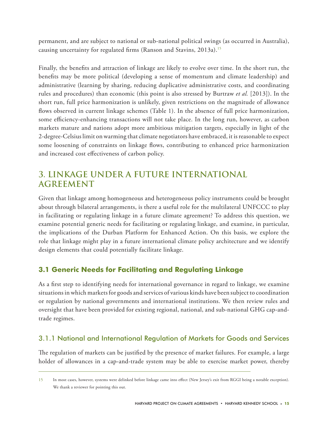permanent, and are subject to national or sub-national political swings (as occurred in Australia), causing uncertainty for regulated firms (Ranson and Stavins, 2013a).15

Finally, the benefits and attraction of linkage are likely to evolve over time. In the short run, the benefits may be more political (developing a sense of momentum and climate leadership) and administrative (learning by sharing, reducing duplicative administrative costs, and coordinating rules and procedures) than economic (this point is also stressed by Burtraw *et al.* [2013]). In the short run, full price harmonization is unlikely, given restrictions on the magnitude of allowance flows observed in current linkage schemes (Table 1). In the absence of full price harmonization, some efficiency-enhancing transactions will not take place. In the long run, however, as carbon markets mature and nations adopt more ambitious mitigation targets, especially in light of the 2-degree-Celsius limit on warming that climate negotiators have embraced, it is reasonable to expect some loosening of constraints on linkage flows, contributing to enhanced price harmonization and increased cost effectiveness of carbon policy.

# **3. LINKAGE UNDER A FUTURE INTERNATIONAL AGREEMENT**

Given that linkage among homogeneous and heterogeneous policy instruments could be brought about through bilateral arrangements, is there a useful role for the multilateral UNFCCC to play in facilitating or regulating linkage in a future climate agreement? To address this question, we examine potential generic needs for facilitating or regulating linkage, and examine, in particular, the implications of the Durban Platform for Enhanced Action. On this basis, we explore the role that linkage might play in a future international climate policy architecture and we identify design elements that could potentially facilitate linkage.

# **3.1 Generic Needs for Facilitating and Regulating Linkage**

As a first step to identifying needs for international governance in regard to linkage, we examine situations in which markets for goods and services of various kinds have been subject to coordination or regulation by national governments and international institutions. We then review rules and oversight that have been provided for existing regional, national, and sub-national GHG cap-andtrade regimes.

### 3.1.1 National and International Regulation of Markets for Goods and Services

The regulation of markets can be justified by the presence of market failures. For example, a large holder of allowances in a cap-and-trade system may be able to exercise market power, thereby

<sup>15</sup> In most cases, however, systems were delinked before linkage came into effect (New Jersey's exit from RGGI being a notable exception). We thank a reviewer for pointing this out.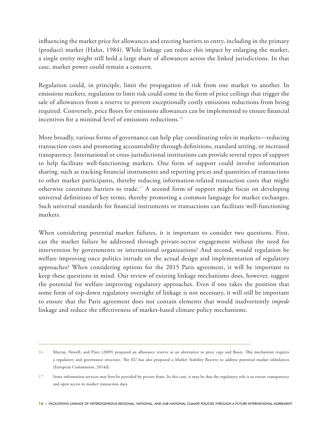influencing the market price for allowances and erecting barriers to entry, including in the primary (product) market (Hahn, 1984). While linkage can reduce this impact by enlarging the market, a single entity might still hold a large share of allowances across the linked jurisdictions. In that case, market power could remain a concern.

Regulation could, in principle, limit the propagation of risk from one market to another. In emissions markets, regulation to limit risk could come in the form of price ceilings that trigger the sale of allowances from a reserve to prevent exceptionally costly emissions reductions from being required. Conversely, price floors for emissions allowances can be implemented to ensure financial incentives for a minimal level of emissions reductions.<sup>16</sup>

More broadly, various forms of governance can help play coordinating roles in markets—reducing transaction costs and promoting accountability through definitions, standard setting, or increased transparency. International or cross-jurisdictional institutions can provide several types of support to help facilitate well-functioning markets. One form of support could involve information sharing, such as tracking financial instruments and reporting prices and quantities of transactions to other market participants, thereby reducing information-related transaction costs that might otherwise constitute barriers to trade.17 A second form of support might focus on developing universal definitions of key terms, thereby promoting a common language for market exchanges. Such universal standards for financial instruments or transactions can facilitate well-functioning markets.

When considering potential market failures, it is important to consider two questions. First, can the market failure be addressed through private-sector engagement without the need for intervention by governments or international organizations? And second, would regulation be welfare improving once politics intrude on the actual design and implementation of regulatory approaches? When considering options for the 2015 Paris agreement, it will be important to keep these questions in mind. Our review of existing linkage mechanisms does, however, suggest the potential for welfare improving regulatory approaches. Even if one takes the position that some form of top-down regulatory oversight of linkage is not necessary, it will still be important to ensure that the Paris agreement does not contain elements that would inadvertently *impede* linkage and reduce the effectiveness of market-based climate policy mechanisms.

<sup>16</sup> Murray, Newell, and Pizer (2009) proposed an allowance reserve as an alternative to price caps and floors. This mechanism requires a regulatory and governance structure. The EU has also proposed a Market Stability Reserve to address potential market imbalances (European Commission, 2014d).

<sup>17</sup> Some information services may best be provided by private firms. In this case, it may be that the regulatory role is to ensure transparency and open access to market transaction data.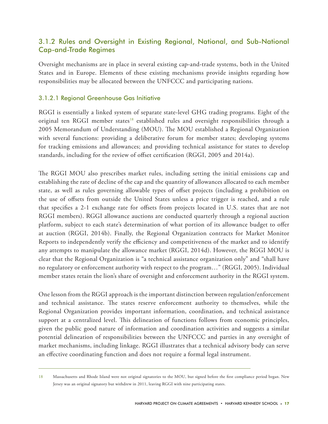### 3.1.2 Rules and Oversight in Existing Regional, National, and Sub-National Cap-and-Trade Regimes

Oversight mechanisms are in place in several existing cap-and-trade systems, both in the United States and in Europe. Elements of these existing mechanisms provide insights regarding how responsibilities may be allocated between the UNFCCC and participating nations.

#### 3.1.2.1 Regional Greenhouse Gas Initiative

RGGI is essentially a linked system of separate state-level GHG trading programs. Eight of the original ten RGGI member states<sup>18</sup> established rules and oversight responsibilities through a 2005 Memorandum of Understanding (MOU). The MOU established a Regional Organization with several functions: providing a deliberative forum for member states; developing systems for tracking emissions and allowances; and providing technical assistance for states to develop standards, including for the review of offset certification (RGGI, 2005 and 2014a).

The RGGI MOU also prescribes market rules, including setting the initial emissions cap and establishing the rate of decline of the cap and the quantity of allowances allocated to each member state, as well as rules governing allowable types of offset projects (including a prohibition on the use of offsets from outside the United States unless a price trigger is reached, and a rule that specifies a 2-1 exchange rate for offsets from projects located in U.S. states that are not RGGI members). RGGI allowance auctions are conducted quarterly through a regional auction platform, subject to each state's determination of what portion of its allowance budget to offer at auction (RGGI, 2014b). Finally, the Regional Organization contracts for Market Monitor Reports to independently verify the efficiency and competitiveness of the market and to identify any attempts to manipulate the allowance market (RGGI, 2014d). However, the RGGI MOU is clear that the Regional Organization is "a technical assistance organization only" and "shall have no regulatory or enforcement authority with respect to the program…" (RGGI, 2005). Individual member states retain the lion's share of oversight and enforcement authority in the RGGI system.

One lesson from the RGGI approach is the important distinction between regulation/enforcement and technical assistance. The states reserve enforcement authority to themselves, while the Regional Organization provides important information, coordination, and technical assistance support at a centralized level. This delineation of functions follows from economic principles, given the public good nature of information and coordination activities and suggests a similar potential delineation of responsibilities between the UNFCCC and parties in any oversight of market mechanisms, including linkage. RGGI illustrates that a technical advisory body can serve an effective coordinating function and does not require a formal legal instrument.

<sup>18</sup> Massachusetts and Rhode Island were not original signatories to the MOU, but signed before the first compliance period began. New Jersey was an original signatory but withdrew in 2011, leaving RGGI with nine participating states.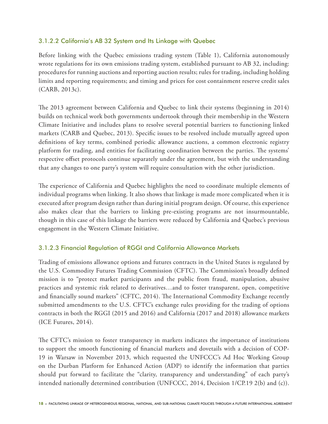#### 3.1.2.2 California's AB 32 System and Its Linkage with Quebec

Before linking with the Quebec emissions trading system (Table 1), California autonomously wrote regulations for its own emissions trading system, established pursuant to AB 32, including: procedures for running auctions and reporting auction results; rules for trading, including holding limits and reporting requirements; and timing and prices for cost containment reserve credit sales (CARB, 2013c).

The 2013 agreement between California and Quebec to link their systems (beginning in 2014) builds on technical work both governments undertook through their membership in the Western Climate Initiative and includes plans to resolve several potential barriers to functioning linked markets (CARB and Quebec, 2013). Specific issues to be resolved include mutually agreed upon definitions of key terms, combined periodic allowance auctions, a common electronic registry platform for trading, and entities for facilitating coordination between the parties. The systems' respective offset protocols continue separately under the agreement, but with the understanding that any changes to one party's system will require consultation with the other jurisdiction.

The experience of California and Quebec highlights the need to coordinate multiple elements of individual programs when linking. It also shows that linkage is made more complicated when it is executed after program design rather than during initial program design. Of course, this experience also makes clear that the barriers to linking pre-existing programs are not insurmountable, though in this case of this linkage the barriers were reduced by California and Quebec's previous engagement in the Western Climate Initiative.

#### 3.1.2.3 Financial Regulation of RGGI and California Allowance Markets

Trading of emissions allowance options and futures contracts in the United States is regulated by the U.S. Commodity Futures Trading Commission (CFTC). The Commission's broadly defined mission is to "protect market participants and the public from fraud, manipulation, abusive practices and systemic risk related to derivatives…and to foster transparent, open, competitive and financially sound markets" (CFTC, 2014). The International Commodity Exchange recently submitted amendments to the U.S. CFTC's exchange rules providing for the trading of options contracts in both the RGGI (2015 and 2016) and California (2017 and 2018) allowance markets (ICE Futures, 2014).

The CFTC's mission to foster transparency in markets indicates the importance of institutions to support the smooth functioning of financial markets and dovetails with a decision of COP-19 in Warsaw in November 2013, which requested the UNFCCC's Ad Hoc Working Group on the Durban Platform for Enhanced Action (ADP) to identify the information that parties should put forward to facilitate the "clarity, transparency and understanding" of each party's intended nationally determined contribution (UNFCCC, 2014, Decision 1/CP.19 2(b) and (c)).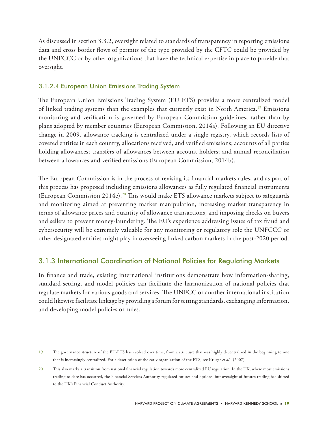As discussed in section 3.3.2, oversight related to standards of transparency in reporting emissions data and cross border flows of permits of the type provided by the CFTC could be provided by the UNFCCC or by other organizations that have the technical expertise in place to provide that oversight.

#### 3.1.2.4 European Union Emissions Trading System

The European Union Emissions Trading System (EU ETS) provides a more centralized model of linked trading systems than the examples that currently exist in North America.<sup>19</sup> Emissions monitoring and verification is governed by European Commission guidelines, rather than by plans adopted by member countries (European Commission, 2014a). Following an EU directive change in 2009, allowance tracking is centralized under a single registry, which records lists of covered entities in each country, allocations received, and verified emissions; accounts of all parties holding allowances; transfers of allowances between account holders; and annual reconciliation between allowances and verified emissions (European Commission, 2014b).

The European Commission is in the process of revising its financial-markets rules, and as part of this process has proposed including emissions allowances as fully regulated financial instruments (European Commission 2014e).<sup>20</sup> This would make ETS allowance markets subject to safeguards and monitoring aimed at preventing market manipulation, increasing market transparency in terms of allowance prices and quantity of allowance transactions, and imposing checks on buyers and sellers to prevent money-laundering. The EU's experience addressing issues of tax fraud and cybersecurity will be extremely valuable for any monitoring or regulatory role the UNFCCC or other designated entities might play in overseeing linked carbon markets in the post-2020 period.

### 3.1.3 International Coordination of National Policies for Regulating Markets

In finance and trade, existing international institutions demonstrate how information-sharing, standard-setting, and model policies can facilitate the harmonization of national policies that regulate markets for various goods and services. The UNFCC or another international institution could likewise facilitate linkage by providing a forum for setting standards, exchanging information, and developing model policies or rules.

<sup>19</sup> The governance structure of the EU-ETS has evolved over time, from a structure that was highly decentralized in the beginning to one that is increasingly centralized. For a description of the early organization of the ETS, see Kruger *et al.*, (2007)*.*

<sup>20</sup> This also marks a transition from national financial regulation towards more centralized EU regulation. In the UK, where most emissions trading to date has occurred, the Financial Services Authority regulated futures and options, but oversight of futures trading has shifted to the UK's Financial Conduct Authority.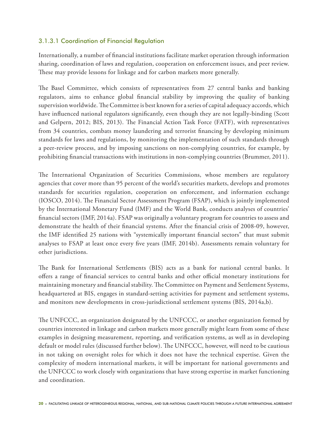#### 3.1.3.1 Coordination of Financial Regulation

Internationally, a number of financial institutions facilitate market operation through information sharing, coordination of laws and regulation, cooperation on enforcement issues, and peer review. These may provide lessons for linkage and for carbon markets more generally.

The Basel Committee, which consists of representatives from 27 central banks and banking regulators, aims to enhance global financial stability by improving the quality of banking supervision worldwide. The Committee is best known for a series of capital adequacy accords, which have influenced national regulators significantly, even though they are not legally-binding (Scott and Gelpern, 2012; BIS, 2013). The Financial Action Task Force (FATF), with representatives from 34 countries, combats money laundering and terrorist financing by developing minimum standards for laws and regulations, by monitoring the implementation of such standards through a peer-review process, and by imposing sanctions on non-complying countries, for example, by prohibiting financial transactions with institutions in non-complying countries (Brummer, 2011).

The International Organization of Securities Commissions, whose members are regulatory agencies that cover more than 95 percent of the world's securities markets, develops and promotes standards for securities regulation, cooperation on enforcement, and information exchange (IOSCO, 2014). The Financial Sector Assessment Program (FSAP), which is jointly implemented by the International Monetary Fund (IMF) and the World Bank, conducts analyses of countries' financial sectors (IMF, 2014a). FSAP was originally a voluntary program for countries to assess and demonstrate the health of their financial systems. After the financial crisis of 2008-09, however, the IMF identified 25 nations with "systemically important financial sectors" that must submit analyses to FSAP at least once every five years (IMF, 2014b). Assessments remain voluntary for other jurisdictions.

The Bank for International Settlements (BIS) acts as a bank for national central banks. It offers a range of [financial services](http://www.bis.org/banking/index.htm) to central banks and other official monetary institutions for maintaining monetary and financial stability. The Committee on Payment and Settlement Systems, headquartered at BIS, engages in standard-setting activities for payment and settlement systems, and monitors new developments in cross-jurisdictional settlement systems (BIS, 2014a,b).

The UNFCCC, an organization designated by the UNFCCC, or another organization formed by countries interested in linkage and carbon markets more generally might learn from some of these examples in designing measurement, reporting, and verification systems, as well as in developing default or model rules (discussed further below). The UNFCCC, however, will need to be cautious in not taking on oversight roles for which it does not have the technical expertise. Given the complexity of modern international markets, it will be important for national governments and the UNFCCC to work closely with organizations that have strong expertise in market functioning and coordination.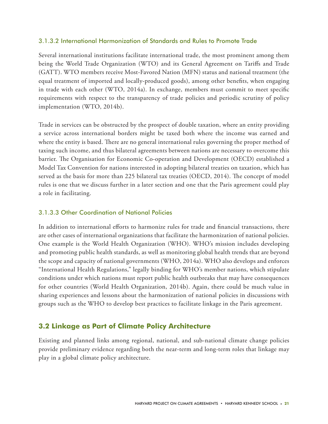#### 3.1.3.2 International Harmonization of Standards and Rules to Promote Trade

Several international institutions facilitate international trade, the most prominent among them being the World Trade Organization (WTO) and its General Agreement on Tariffs and Trade (GATT). WTO members receive Most-Favored Nation (MFN) status and national treatment (the equal treatment of imported and locally-produced goods), among other benefits, when engaging in trade with each other (WTO, 2014a). In exchange, members must commit to meet specific requirements with respect to the transparency of trade policies and periodic scrutiny of policy implementation (WTO, 2014b).

Trade in services can be obstructed by the prospect of double taxation, where an entity providing a service across international borders might be taxed both where the income was earned and where the entity is based. There are no general international rules governing the proper method of taxing such income, and thus bilateral agreements between nations are necessary to overcome this barrier. The Organisation for Economic Co-operation and Development (OECD) established a Model Tax Convention for nations interested in adopting bilateral treaties on taxation, which has served as the basis for more than 225 bilateral tax treaties (OECD, 2014). The concept of model rules is one that we discuss further in a later section and one that the Paris agreement could play a role in facilitating.

#### 3.1.3.3 Other Coordination of National Policies

In addition to international efforts to harmonize rules for trade and financial transactions, there are other cases of international organizations that facilitate the harmonization of national policies. One example is the World Health Organization (WHO). WHO's mission includes developing and promoting public health standards, as well as monitoring global health trends that are beyond the scope and capacity of national governments (WHO, 2014a). WHO also develops and enforces "International Health Regulations," legally binding for WHO's member nations, which stipulate conditions under which nations must report public health outbreaks that may have consequences for other countries (World Health Organization, 2014b). Again, there could be much value in sharing experiences and lessons about the harmonization of national policies in discussions with groups such as the WHO to develop best practices to facilitate linkage in the Paris agreement.

#### **3.2 Linkage as Part of Climate Policy Architecture**

Existing and planned links among regional, national, and sub-national climate change policies provide preliminary evidence regarding both the near-term and long-term roles that linkage may play in a global climate policy architecture.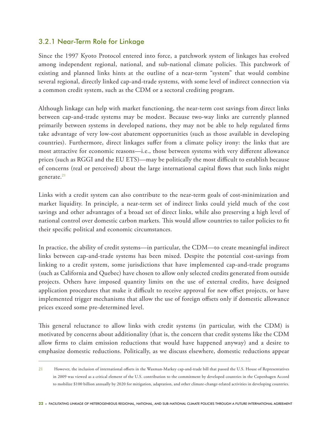#### 3.2.1 Near-Term Role for Linkage

Since the 1997 Kyoto Protocol entered into force, a patchwork system of linkages has evolved among independent regional, national, and sub-national climate policies. This patchwork of existing and planned links hints at the outline of a near-term "system" that would combine several regional, directly linked cap-and-trade systems, with some level of indirect connection via a common credit system, such as the CDM or a sectoral crediting program.

Although linkage can help with market functioning, the near-term cost savings from direct links between cap-and-trade systems may be modest. Because two-way links are currently planned primarily between systems in developed nations, they may not be able to help regulated firms take advantage of very low-cost abatement opportunities (such as those available in developing countries). Furthermore, direct linkages suffer from a climate policy irony: the links that are most attractive for economic reasons—i.e., those between systems with very different allowance prices (such as RGGI and the EU ETS)—may be politically the most difficult to establish because of concerns (real or perceived) about the large international capital flows that such links might generate. $^{21}$ 

Links with a credit system can also contribute to the near-term goals of cost-minimization and market liquidity. In principle, a near-term set of indirect links could yield much of the cost savings and other advantages of a broad set of direct links, while also preserving a high level of national control over domestic carbon markets. This would allow countries to tailor policies to fit their specific political and economic circumstances.

In practice, the ability of credit systems—in particular, the CDM—to create meaningful indirect links between cap-and-trade systems has been mixed. Despite the potential cost-savings from linking to a credit system, some jurisdictions that have implemented cap-and-trade programs (such as California and Quebec) have chosen to allow only selected credits generated from outside projects. Others have imposed quantity limits on the use of external credits, have designed application procedures that make it difficult to receive approval for new offset projects, or have implemented trigger mechanisms that allow the use of foreign offsets only if domestic allowance prices exceed some pre-determined level.

This general reluctance to allow links with credit systems (in particular, with the CDM) is motivated by concerns about additionality (that is, the concern that credit systems like the CDM allow firms to claim emission reductions that would have happened anyway) and a desire to emphasize domestic reductions. Politically, as we discuss elsewhere, domestic reductions appear

<sup>21</sup> However, the inclusion of international offsets in the Waxman-Markey cap-and-trade bill that passed the U.S. House of Representatives in 2009 was viewed as a critical element of the U.S. contribution to the commitment by developed countries in the Copenhagen Accord to mobilize \$100 billion annually by 2020 for mitigation, adaptation, and other climate-change-related activities in developing countries.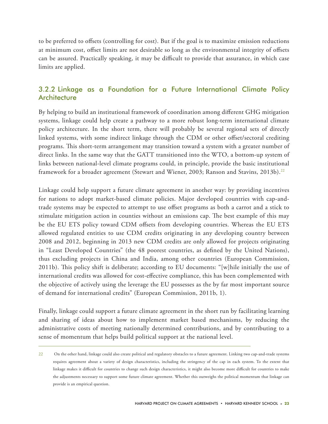to be preferred to offsets (controlling for cost). But if the goal is to maximize emission reductions at minimum cost, offset limits are not desirable so long as the environmental integrity of offsets can be assured. Practically speaking, it may be difficult to provide that assurance, in which case limits are applied.

### 3.2.2 Linkage as a Foundation for a Future International Climate Policy **Architecture**

By helping to build an institutional framework of coordination among different GHG mitigation systems, linkage could help create a pathway to a more robust long-term international climate policy architecture. In the short term, there will probably be several regional sets of directly linked systems, with some indirect linkage through the CDM or other offset/sectoral crediting programs. This short-term arrangement may transition toward a system with a greater number of direct links. In the same way that the GATT transitioned into the WTO, a bottom-up system of links between national-level climate programs could, in principle, provide the basic institutional framework for a broader agreement (Stewart and Wiener, 2003; Ranson and Stavins, 2013b).<sup>22</sup>

Linkage could help support a future climate agreement in another way: by providing incentives for nations to adopt market-based climate policies. Major developed countries with cap-andtrade systems may be expected to attempt to use offset programs as both a carrot and a stick to stimulate mitigation action in counties without an emissions cap. The best example of this may be the EU ETS policy toward CDM offsets from developing countries. Whereas the EU ETS allowed regulated entities to use CDM credits originating in any developing country between 2008 and 2012, beginning in 2013 new CDM credits are only allowed for projects originating in "Least Developed Countries" (the 48 poorest countries, as defined by the United Nations), thus excluding projects in China and India, among other countries (European Commission, 2011b). This policy shift is deliberate; according to EU documents: "[w]hile initially the use of international credits was allowed for cost-effective compliance, this has been complemented with the objective of actively using the leverage the EU possesses as the by far most important source of demand for international credits" (European Commission, 2011b, 1).

Finally, linkage could support a future climate agreement in the short run by facilitating learning and sharing of ideas about how to implement market based mechanisms, by reducing the administrative costs of meeting nationally determined contributions, and by contributing to a sense of momentum that helps build political support at the national level.

<sup>22</sup> On the other hand, linkage could also create political and regulatory obstacles to a future agreement. Linking two cap-and-trade systems requires agreement about a variety of design characteristics, including the stringency of the cap in each system. To the extent that linkage makes it difficult for countries to change such design characteristics, it might also become more difficult for countries to make the adjustments necessary to support some future climate agreement. Whether this outweighs the political momentum that linkage can provide is an empirical question.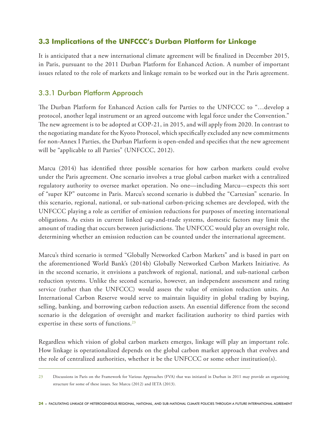#### **3.3 Implications of the UNFCCC's Durban Platform for Linkage**

It is anticipated that a new international climate agreement will be finalized in December 2015, in Paris, pursuant to the 2011 Durban Platform for Enhanced Action. A number of important issues related to the role of markets and linkage remain to be worked out in the Paris agreement.

#### 3.3.1 Durban Platform Approach

The Durban Platform for Enhanced Action calls for Parties to the UNFCCC to "…develop a protocol, another legal instrument or an agreed outcome with legal force under the Convention." The new agreement is to be adopted at COP-21, in 2015, and will apply from 2020. In contrast to the negotiating mandate for the Kyoto Protocol, which specifically excluded any new commitments for non-Annex I Parties, the Durban Platform is open-ended and specifies that the new agreement will be "applicable to all Parties" (UNFCCC, 2012).

Marcu (2014) has identified three possible scenarios for how carbon markets could evolve under the Paris agreement. One scenario involves a true global carbon market with a centralized regulatory authority to oversee market operation. No one—including Marcu—expects this sort of "super KP" outcome in Paris. Marcu's second scenario is dubbed the "Cartesian" scenario. In this scenario, regional, national, or sub-national carbon-pricing schemes are developed, with the UNFCCC playing a role as certifier of emission reductions for purposes of meeting international obligations. As exists in current linked cap-and-trade systems, domestic factors may limit the amount of trading that occurs between jurisdictions. The UNFCCC would play an oversight role, determining whether an emission reduction can be counted under the international agreement.

Marcu's third scenario is termed "Globally Networked Carbon Markets" and is based in part on the aforementioned World Bank's (2014b) Globally Networked Carbon Markets Initiative. As in the second scenario, it envisions a patchwork of regional, national, and sub-national carbon reduction systems. Unlike the second scenario, however, an independent assessment and rating service (rather than the UNFCCC) would assess the value of emission reduction units. An International Carbon Reserve would serve to maintain liquidity in global trading by buying, selling, banking, and borrowing carbon reduction assets. An essential difference from the second scenario is the delegation of oversight and market facilitation authority to third parties with expertise in these sorts of functions.<sup>23</sup>

Regardless which vision of global carbon markets emerges, linkage will play an important role. How linkage is operationalized depends on the global carbon market approach that evolves and the role of centralized authorities, whether it be the UNFCCC or some other institution(s).

<sup>23</sup> Discussions in Paris on the Framework for Various Approaches (FVA) that was initiated in Durban in 2011 may provide an organizing structure for some of these issues. See Marcu (2012) and IETA (2013).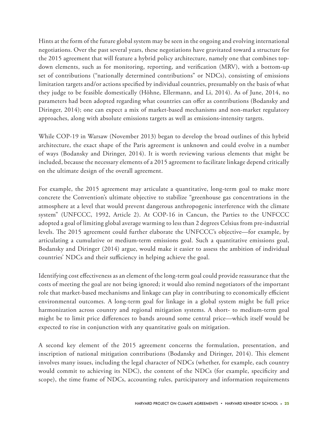Hints at the form of the future global system may be seen in the ongoing and evolving international negotiations. Over the past several years, these negotiations have gravitated toward a structure for the 2015 agreement that will feature a hybrid policy architecture, namely one that combines topdown elements, such as for monitoring, reporting, and verification (MRV), with a bottom-up set of contributions ("nationally determined contributions" or NDCs), consisting of emissions limitation targets and/or actions specified by individual countries, presumably on the basis of what they judge to be feasible domestically (Höhne, Ellermann, and Li, 2014). As of June, 2014, no parameters had been adopted regarding what countries can offer as contributions (Bodansky and Diringer, 2014); one can expect a mix of market-based mechanisms and non-market regulatory approaches, along with absolute emissions targets as well as emissions-intensity targets.

While COP-19 in Warsaw (November 2013) began to develop the broad outlines of this hybrid architecture, the exact shape of the Paris agreement is unknown and could evolve in a number of ways (Bodansky and Diringer, 2014). It is worth reviewing various elements that might be included, because the necessary elements of a 2015 agreement to facilitate linkage depend critically on the ultimate design of the overall agreement.

For example, the 2015 agreement may articulate a quantitative, long-term goal to make more concrete the Convention's ultimate objective to stabilize "greenhouse gas concentrations in the atmosphere at a level that would prevent dangerous anthropogenic interference with the climate system" (UNFCCC, 1992, Article 2). At COP-16 in Cancun, the Parties to the UNFCCC adopted a goal of limiting global average warming to less than 2 degrees Celsius from pre-industrial levels. The 2015 agreement could further elaborate the UNFCCC's objective—for example, by articulating a cumulative or medium-term emissions goal. Such a quantitative emissions goal, Bodansky and Diringer (2014) argue, would make it easier to assess the ambition of individual countries' NDCs and their sufficiency in helping achieve the goal.

Identifying cost effectiveness as an element of the long-term goal could provide reassurance that the costs of meeting the goal are not being ignored; it would also remind negotiators of the important role that market-based mechanisms and linkage can play in contributing to economically efficient environmental outcomes. A long-term goal for linkage in a global system might be full price harmonization across country and regional mitigation systems. A short- to medium-term goal might be to limit price differences to bands around some central price—which itself would be expected to rise in conjunction with any quantitative goals on mitigation.

A second key element of the 2015 agreement concerns the formulation, presentation, and inscription of national mitigation contributions (Bodansky and Diringer, 2014). This element involves many issues, including the legal character of NDCs (whether, for example, each country would commit to achieving its NDC), the content of the NDCs (for example, specificity and scope), the time frame of NDCs, accounting rules, participatory and information requirements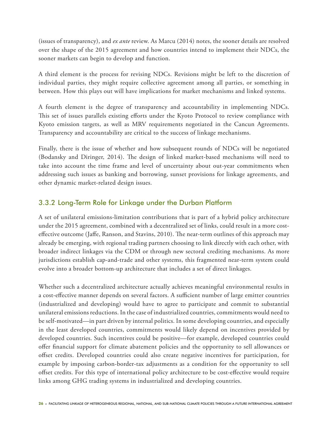(issues of transparency), and *ex ante* review. As Marcu (2014) notes, the sooner details are resolved over the shape of the 2015 agreement and how countries intend to implement their NDCs, the sooner markets can begin to develop and function.

A third element is the process for revising NDCs. Revisions might be left to the discretion of individual parties, they might require collective agreement among all parties, or something in between. How this plays out will have implications for market mechanisms and linked systems.

A fourth element is the degree of transparency and accountability in implementing NDCs. This set of issues parallels existing efforts under the Kyoto Protocol to review compliance with Kyoto emission targets, as well as MRV requirements negotiated in the Cancun Agreements. Transparency and accountability are critical to the success of linkage mechanisms.

Finally, there is the issue of whether and how subsequent rounds of NDCs will be negotiated (Bodansky and Diringer, 2014). The design of linked market-based mechanisms will need to take into account the time frame and level of uncertainty about out-year commitments when addressing such issues as banking and borrowing, sunset provisions for linkage agreements, and other dynamic market-related design issues.

# 3.3.2 Long-Term Role for Linkage under the Durban Platform

A set of unilateral emissions-limitation contributions that is part of a hybrid policy architecture under the 2015 agreement, combined with a decentralized set of links, could result in a more costeffective outcome (Jaffe, Ranson, and Stavins, 2010). The near-term outlines of this approach may already be emerging, with regional trading partners choosing to link directly with each other, with broader indirect linkages via the CDM or through new sectoral crediting mechanisms. As more jurisdictions establish cap-and-trade and other systems, this fragmented near-term system could evolve into a broader bottom-up architecture that includes a set of direct linkages.

Whether such a decentralized architecture actually achieves meaningful environmental results in a cost-effective manner depends on several factors. A sufficient number of large emitter countries (industrialized and developing) would have to agree to participate and commit to substantial unilateral emissions reductions. In the case of industrialized countries, commitments would need to be self-motivated—in part driven by internal politics. In some developing countries, and especially in the least developed countries, commitments would likely depend on incentives provided by developed countries. Such incentives could be positive—for example, developed countries could offer financial support for climate abatement policies and the opportunity to sell allowances or offset credits. Developed countries could also create negative incentives for participation, for example by imposing carbon-border-tax adjustments as a condition for the opportunity to sell offset credits. For this type of international policy architecture to be cost-effective would require links among GHG trading systems in industrialized and developing countries.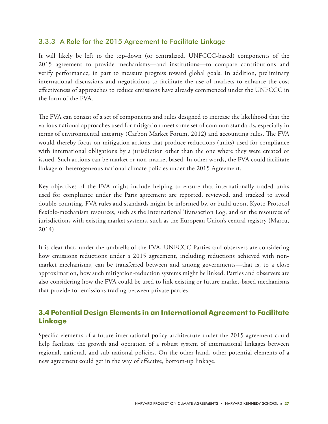#### 3.3.3 A Role for the 2015 Agreement to Facilitate Linkage

It will likely be left to the top-down (or centralized, UNFCCC-based) components of the 2015 agreement to provide mechanisms—and institutions—to compare contributions and verify performance, in part to measure progress toward global goals. In addition, preliminary international discussions and negotiations to facilitate the use of markets to enhance the cost effectiveness of approaches to reduce emissions have already commenced under the UNFCCC in the form of the FVA.

The FVA can consist of a set of components and rules designed to increase the likelihood that the various national approaches used for mitigation meet some set of common standards, especially in terms of environmental integrity (Carbon Market Forum, 2012) and accounting rules. The FVA would thereby focus on mitigation actions that produce reductions (units) used for compliance with international obligations by a jurisdiction other than the one where they were created or issued. Such actions can be market or non-market based. In other words, the FVA could facilitate linkage of heterogeneous national climate policies under the 2015 Agreement.

Key objectives of the FVA might include helping to ensure that internationally traded units used for compliance under the Paris agreement are reported, reviewed, and tracked to avoid double-counting. FVA rules and standards might be informed by, or build upon, Kyoto Protocol flexible-mechanism resources, such as the International Transaction Log, and on the resources of jurisdictions with existing market systems, such as the European Union's central registry (Marcu, 2014).

It is clear that, under the umbrella of the FVA, UNFCCC Parties and observers are considering how emissions reductions under a 2015 agreement, including reductions achieved with nonmarket mechanisms, can be transferred between and among governments—that is, to a close approximation, how such mitigation-reduction systems might be linked. Parties and observers are also considering how the FVA could be used to link existing or future market-based mechanisms that provide for emissions trading between private parties.

# **3.4 Potential Design Elements in an International Agreement to Facilitate Linkage**

Specific elements of a future international policy architecture under the 2015 agreement could help facilitate the growth and operation of a robust system of international linkages between regional, national, and sub-national policies. On the other hand, other potential elements of a new agreement could get in the way of effective, bottom-up linkage.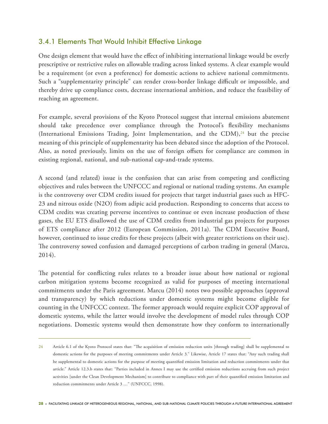#### 3.4.1 Elements That Would Inhibit Effective Linkage

One design element that would have the effect of inhibiting international linkage would be overly prescriptive or restrictive rules on allowable trading across linked systems. A clear example would be a requirement (or even a preference) for domestic actions to achieve national commitments. Such a "supplementarity principle" can render cross-border linkage difficult or impossible, and thereby drive up compliance costs, decrease international ambition, and reduce the feasibility of reaching an agreement.

For example, several provisions of the Kyoto Protocol suggest that internal emissions abatement should take precedence over compliance through the Protocol's flexibility mechanisms (International Emissions Trading, Joint Implementation, and the CDM), $^{24}$  but the precise meaning of this principle of supplementarity has been debated since the adoption of the Protocol. Also, as noted previously, limits on the use of foreign offsets for compliance are common in existing regional, national, and sub-national cap-and-trade systems.

A second (and related) issue is the confusion that can arise from competing and conflicting objectives and rules between the UNFCCC and regional or national trading systems. An example is the controversy over CDM credits issued for projects that target industrial gases such as HFC-23 and nitrous oxide (N2O) from adipic acid production. Responding to concerns that access to CDM credits was creating perverse incentives to continue or even increase production of these gases, the EU ETS disallowed the use of CDM credits from industrial gas projects for purposes of ETS compliance after 2012 (European Commission, 2011a). The CDM Executive Board, however, continued to issue credits for these projects (albeit with greater restrictions on their use). The controversy sowed confusion and damaged perceptions of carbon trading in general (Marcu, 2014).

The potential for conflicting rules relates to a broader issue about how national or regional carbon mitigation systems become recognized as valid for purposes of meeting international commitments under the Paris agreement. Marcu (2014) notes two possible approaches (approval and transparency) by which reductions under domestic systems might become eligible for counting in the UNFCCC context. The former approach would require explicit COP approval of domestic systems, while the latter would involve the development of model rules through COP negotiations. Domestic systems would then demonstrate how they conform to internationally

<sup>24</sup> Article 6.1 of the Kyoto Protocol states that: "The acquisition of emission reduction units [through trading] shall be supplemental to domestic actions for the purposes of meeting commitments under Article 3." Likewise, Article 17 states that: "Any such trading shall be supplemental to domestic actions for the purpose of meeting quantified emission limitation and reduction commitments under that article." Article 12.3.b states that: "Parties included in Annex I may use the certified emission reductions accruing from such project activities [under the Clean Development Mechanism] to contribute to compliance with part of their quantified emission limitation and reduction commitments under Article 3 …" (UNFCCC, 1998).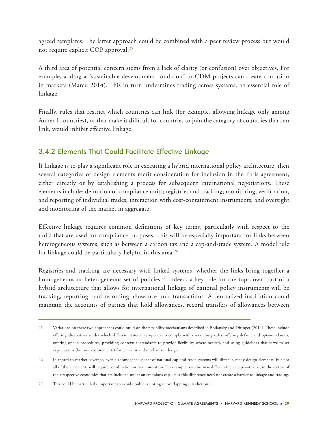agreed templates. The latter approach could be combined with a peer review process but would not require explicit COP approval.25

A third area of potential concern stems from a lack of clarity (or confusion) over objectives. For example, adding a "sustainable development condition" to CDM projects can create confusion in markets (Marcu 2014). This in turn undermines trading across systems, an essential role of linkage.

Finally, rules that restrict which countries can link (for example, allowing linkage only among Annex I countries), or that make it difficult for countries to join the category of countries that can link, would inhibit effective linkage.

# 3.4.2 Elements That Could Facilitate Effective Linkage

If linkage is to play a significant role in executing a hybrid international policy architecture, then several categories of design elements merit consideration for inclusion in the Paris agreement, either directly or by establishing a process for subsequent international negotiations. These elements include: definition of compliance units; registries and tracking; monitoring, verification, and reporting of individual trades; interaction with cost-containment instruments; and oversight and monitoring of the market in aggregate.

Effective linkage requires common definitions of key terms, particularly with respect to the units that are used for compliance purposes. This will be especially important for links between heterogeneous systems, such as between a carbon tax and a cap-and-trade system. A model rule for linkage could be particularly helpful in this area.<sup>26</sup>

Registries and tracking are necessary with linked systems, whether the links bring together a homogeneous or heterogeneous set of policies.<sup>27</sup> Indeed, a key role for the top-down part of a hybrid architecture that allows for international linkage of national policy instruments will be tracking, reporting, and recording allowance unit transactions. A centralized institution could maintain the accounts of parties that hold allowances, record transfers of allowances between

<sup>25</sup> Variations on these two approaches could build on the flexibility mechanisms described in Bodansky and Diringer (2014). These include offering alternatives under which different states may operate to comply with overarching rules, offering default and opt-out clauses, offering opt-in procedures, providing contextual standards to provide flexibility where needed, and using guidelines that serve to set expectations (but not requirements) for behavior and mechanism design.

<sup>26</sup> In regard to market coverage, even a (homogeneous) set of national cap-and-trade systems will differ in many design elements, but not all of these elements will require coordination or harmonization. For example, systems may differ in their scope—that is, in the sectors of their respective economies that are included under an emissions cap—but this difference need not create a barrier to linkage and trading.

<sup>27</sup> This could be particularly important to avoid double counting in overlapping jurisdictions.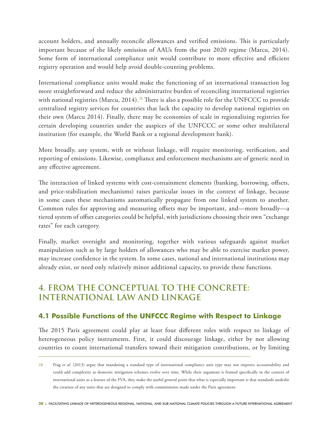account holders, and annually reconcile allowances and verified emissions. This is particularly important because of the likely omission of AAUs from the post 2020 regime (Marcu, 2014). Some form of international compliance unit would contribute to more effective and efficient registry operation and would help avoid double-counting problems.

International compliance units would make the functioning of an international transaction log more straightforward and reduce the administrative burden of reconciling international registries with national registries (Marcu, 2014).<sup>28</sup> There is also a possible role for the UNFCCC to provide centralized registry services for countries that lack the capacity to develop national registries on their own (Marcu 2014). Finally, there may be economies of scale in regionalizing registries for certain developing countries under the auspices of the UNFCCC or some other multilateral institution (for example, the World Bank or a regional development bank).

More broadly, any system, with or without linkage, will require monitoring, verification, and reporting of emissions. Likewise, compliance and enforcement mechanisms are of generic need in any effective agreement.

The interaction of linked systems with cost-containment elements (banking, borrowing, offsets, and price-stabilization mechanisms) raises particular issues in the context of linkage, because in some cases these mechanisms automatically propagate from one linked system to another. Common rules for approving and measuring offsets may be important, and—more broadly—a tiered system of offset categories could be helpful, with jurisdictions choosing their own "exchange rates" for each category.

Finally, market oversight and monitoring, together with various safeguards against market manipulation such as by large holders of allowances who may be able to exercise market power, may increase confidence in the system. In some cases, national and international institutions may already exist, or need only relatively minor additional capacity, to provide these functions.

# **4. FROM THE CONCEPTUAL TO THE CONCRETE: INTERNATIONAL LAW AND LINKAGE**

# **4.1 Possible Functions of the UNFCCC Regime with Respect to Linkage**

The 2015 Paris agreement could play at least four different roles with respect to linkage of heterogeneous policy instruments. First, it could discourage linkage, either by not allowing countries to count international transfers toward their mitigation contributions, or by limiting

<sup>28</sup> Prag *et al.* (2013) argue that mandating a standard type of international compliance unit type may not improve accountability and could add complexity as domestic mitigation schemes evolve over time. While their argument is framed specifically in the context of international units as a feature of the FVA, they make the useful general point that what is especially important is that standards underlie the creation of any units that are designed to comply with commitments made under the Paris agreement.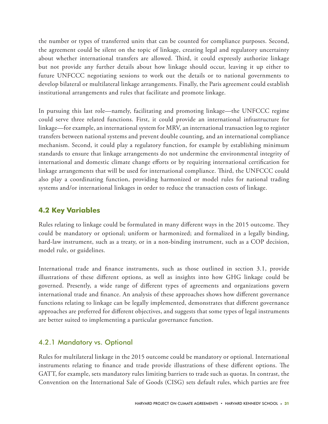the number or types of transferred units that can be counted for compliance purposes. Second, the agreement could be silent on the topic of linkage, creating legal and regulatory uncertainty about whether international transfers are allowed. Third, it could expressly authorize linkage but not provide any further details about how linkage should occur, leaving it up either to future UNFCCC negotiating sessions to work out the details or to national governments to develop bilateral or multilateral linkage arrangements. Finally, the Paris agreement could establish institutional arrangements and rules that facilitate and promote linkage.

In pursuing this last role—namely, facilitating and promoting linkage—the UNFCCC regime could serve three related functions. First, it could provide an international infrastructure for linkage—for example, an international system for MRV, an international transaction log to register transfers between national systems and prevent double counting, and an international compliance mechanism. Second, it could play a regulatory function, for example by establishing minimum standards to ensure that linkage arrangements do not undermine the environmental integrity of international and domestic climate change efforts or by requiring international certification for linkage arrangements that will be used for international compliance. Third, the UNFCCC could also play a coordinating function, providing harmonized or model rules for national trading systems and/or international linkages in order to reduce the transaction costs of linkage.

# **4.2 Key Variables**

Rules relating to linkage could be formulated in many different ways in the 2015 outcome. They could be mandatory or optional; uniform or harmonized; and formalized in a legally binding, hard-law instrument, such as a treaty, or in a non-binding instrument, such as a COP decision, model rule, or guidelines.

International trade and finance instruments, such as those outlined in section 3.1, provide illustrations of these different options, as well as insights into how GHG linkage could be governed. Presently, a wide range of different types of agreements and organizations govern international trade and finance. An analysis of these approaches shows how different governance functions relating to linkage can be legally implemented, demonstrates that different governance approaches are preferred for different objectives, and suggests that some types of legal instruments are better suited to implementing a particular governance function.

### 4.2.1 Mandatory vs. Optional

Rules for multilateral linkage in the 2015 outcome could be mandatory or optional. International instruments relating to finance and trade provide illustrations of these different options. The GATT, for example, sets mandatory rules limiting barriers to trade such as quotas. In contrast, the Convention on the International Sale of Goods (CISG) sets default rules, which parties are free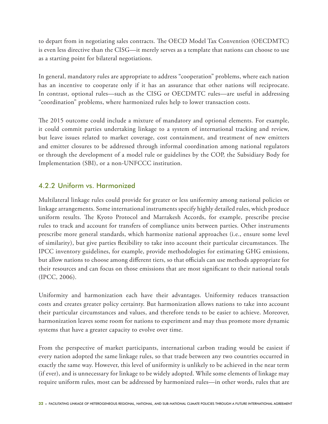to depart from in negotiating sales contracts. The OECD Model Tax Convention (OECDMTC) is even less directive than the CISG—it merely serves as a template that nations can choose to use as a starting point for bilateral negotiations.

In general, mandatory rules are appropriate to address "cooperation" problems, where each nation has an incentive to cooperate only if it has an assurance that other nations will reciprocate. In contrast, optional rules—such as the CISG or OECDMTC rules—are useful in addressing "coordination" problems, where harmonized rules help to lower transaction costs.

The 2015 outcome could include a mixture of mandatory and optional elements. For example, it could commit parties undertaking linkage to a system of international tracking and review, but leave issues related to market coverage, cost containment, and treatment of new emitters and emitter closures to be addressed through informal coordination among national regulators or through the development of a model rule or guidelines by the COP, the Subsidiary Body for Implementation (SBI), or a non-UNFCCC institution.

# 4.2.2 Uniform vs. Harmonized

Multilateral linkage rules could provide for greater or less uniformity among national policies or linkage arrangements. Some international instruments specify highly detailed rules, which produce uniform results. The Kyoto Protocol and Marrakesh Accords, for example, prescribe precise rules to track and account for transfers of compliance units between parties. Other instruments prescribe more general standards, which harmonize national approaches (i.e., ensure some level of similarity), but give parties flexibility to take into account their particular circumstances. The IPCC inventory guidelines, for example, provide methodologies for estimating GHG emissions, but allow nations to choose among different tiers, so that officials can use methods appropriate for their resources and can focus on those emissions that are most significant to their national totals (IPCC, 2006).

Uniformity and harmonization each have their advantages. Uniformity reduces transaction costs and creates greater policy certainty. But harmonization allows nations to take into account their particular circumstances and values, and therefore tends to be easier to achieve. Moreover, harmonization leaves some room for nations to experiment and may thus promote more dynamic systems that have a greater capacity to evolve over time.

From the perspective of market participants, international carbon trading would be easiest if every nation adopted the same linkage rules, so that trade between any two countries occurred in exactly the same way. However, this level of uniformity is unlikely to be achieved in the near term (if ever), and is unnecessary for linkage to be widely adopted. While some elements of linkage may require uniform rules, most can be addressed by harmonized rules—in other words, rules that are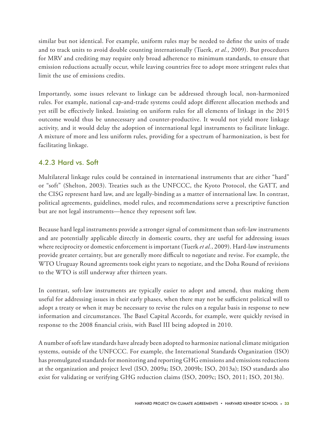similar but not identical. For example, uniform rules may be needed to define the units of trade and to track units to avoid double counting internationally (Tuerk, *et al.*, 2009). But procedures for MRV and crediting may require only broad adherence to minimum standards, to ensure that emission reductions actually occur, while leaving countries free to adopt more stringent rules that limit the use of emissions credits.

Importantly, some issues relevant to linkage can be addressed through local, non-harmonized rules. For example, national cap-and-trade systems could adopt different allocation methods and yet still be effectively linked. Insisting on uniform rules for all elements of linkage in the 2015 outcome would thus be unnecessary and counter-productive. It would not yield more linkage activity, and it would delay the adoption of international legal instruments to facilitate linkage. A mixture of more and less uniform rules, providing for a spectrum of harmonization, is best for facilitating linkage.

# 4.2.3 Hard vs. Soft

Multilateral linkage rules could be contained in international instruments that are either "hard" or "soft" (Shelton, 2003). Treaties such as the UNFCCC, the Kyoto Protocol, the GATT, and the CISG represent hard law, and are legally-binding as a matter of international law. In contrast, political agreements, guidelines, model rules, and recommendations serve a prescriptive function but are not legal instruments—hence they represent soft law.

Because hard legal instruments provide a stronger signal of commitment than soft-law instruments and are potentially applicable directly in domestic courts, they are useful for addressing issues where reciprocity or domestic enforcement is important (Tuerk *et al.*, 2009). Hard-law instruments provide greater certainty, but are generally more difficult to negotiate and revise. For example, the WTO Uruguay Round agreements took eight years to negotiate, and the Doha Round of revisions to the WTO is still underway after thirteen years.

In contrast, soft-law instruments are typically easier to adopt and amend, thus making them useful for addressing issues in their early phases, when there may not be sufficient political will to adopt a treaty or when it may be necessary to revise the rules on a regular basis in response to new information and circumstances. The Basel Capital Accords, for example, were quickly revised in response to the 2008 financial crisis, with Basel III being adopted in 2010.

A number of soft law standards have already been adopted to harmonize national climate mitigation systems, outside of the UNFCCC. For example, the International Standards Organization (ISO) has promulgated standards for monitoring and reporting GHG emissions and emissions reductions at the organization and project level (ISO, 2009a; ISO, 2009b; ISO, 2013a); ISO standards also exist for validating or verifying GHG reduction claims (ISO, 2009c; ISO, 2011; ISO, 2013b).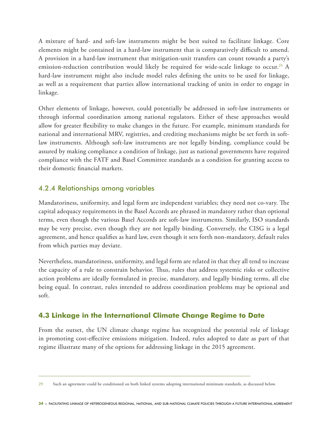A mixture of hard- and soft-law instruments might be best suited to facilitate linkage. Core elements might be contained in a hard-law instrument that is comparatively difficult to amend. A provision in a hard-law instrument that mitigation-unit transfers can count towards a party's emission-reduction contribution would likely be required for wide-scale linkage to occur.<sup>29</sup> A hard-law instrument might also include model rules defining the units to be used for linkage, as well as a requirement that parties allow international tracking of units in order to engage in linkage.

Other elements of linkage, however, could potentially be addressed in soft-law instruments or through informal coordination among national regulators. Either of these approaches would allow for greater flexibility to make changes in the future. For example, minimum standards for national and international MRV, registries, and crediting mechanisms might be set forth in softlaw instruments. Although soft-law instruments are not legally binding, compliance could be assured by making compliance a condition of linkage, just as national governments have required compliance with the FATF and Basel Committee standards as a condition for granting access to their domestic financial markets.

### 4.2.4 Relationships among variables

Mandatoriness, uniformity, and legal form are independent variables; they need not co-vary. The capital adequacy requirements in the Basel Accords are phrased in mandatory rather than optional terms, even though the various Basel Accords are soft-law instruments. Similarly, ISO standards may be very precise, even though they are not legally binding. Conversely, the CISG is a legal agreement, and hence qualifies as hard law, even though it sets forth non-mandatory, default rules from which parties may deviate.

Nevertheless, mandatoriness, uniformity, and legal form are related in that they all tend to increase the capacity of a rule to constrain behavior. Thus, rules that address systemic risks or collective action problems are ideally formulated in precise, mandatory, and legally binding terms, all else being equal. In contrast, rules intended to address coordination problems may be optional and soft.

# **4.3 Linkage in the International Climate Change Regime to Date**

From the outset, the UN climate change regime has recognized the potential role of linkage in promoting cost-effective emissions mitigation. Indeed, rules adopted to date as part of that regime illustrate many of the options for addressing linkage in the 2015 agreement.

<sup>29</sup> Such an agreement could be conditioned on both linked systems adopting international minimum standards, as discussed below.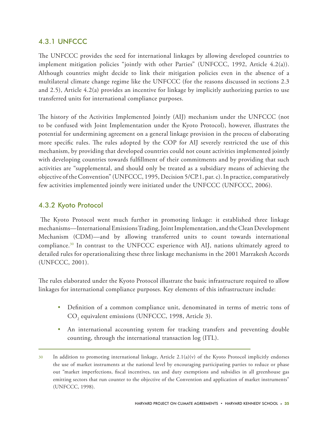#### 4.3.1 UNFCCC

The UNFCCC provides the seed for international linkages by allowing developed countries to implement mitigation policies "jointly with other Parties" (UNFCCC, 1992, Article 4.2(a)). Although countries might decide to link their mitigation policies even in the absence of a multilateral climate change regime like the UNFCCC (for the reasons discussed in sections 2.3 and 2.5), Article 4.2(a) provides an incentive for linkage by implicitly authorizing parties to use transferred units for international compliance purposes.

The history of the Activities Implemented Jointly (AIJ) mechanism under the UNFCCC (not to be confused with Joint Implementation under the Kyoto Protocol), however, illustrates the potential for undermining agreement on a general linkage provision in the process of elaborating more specific rules. The rules adopted by the COP for AIJ severely restricted the use of this mechanism, by providing that developed countries could not count activities implemented jointly with developing countries towards fulfillment of their commitments and by providing that such activities are "supplemental, and should only be treated as a subsidiary means of achieving the objective of the Convention" (UNFCCC, 1995, Decision 5/CP.1, par. c). In practice, comparatively few activities implemented jointly were initiated under the UNFCCC (UNFCCC, 2006).

### 4.3.2 Kyoto Protocol

The Kyoto Protocol went much further in promoting linkage: it established three linkage mechanisms—International Emissions Trading, Joint Implementation, and the Clean Development Mechanism (CDM)—and by allowing transferred units to count towards international compliance.30 In contrast to the UNFCCC experience with AIJ, nations ultimately agreed to detailed rules for operationalizing these three linkage mechanisms in the 2001 Marrakesh Accords (UNFCCC, 2001).

The rules elaborated under the Kyoto Protocol illustrate the basic infrastructure required to allow linkages for international compliance purposes. Key elements of this infrastructure include:

- Definition of a common compliance unit, denominated in terms of metric tons of  $\mathrm{CO}_2$  equivalent emissions (UNFCCC, 1998, Article 3).
- An international accounting system for tracking transfers and preventing double counting, through the international transaction log (ITL).

<sup>30</sup> In addition to promoting international linkage, Article 2.1(a)(v) of the Kyoto Protocol implicitly endorses the use of market instruments at the national level by encouraging participating parties to reduce or phase out "market imperfections, fiscal incentives, tax and duty exemptions and subsidies in all greenhouse gas emitting sectors that run counter to the objective of the Convention and application of market instruments" (UNFCCC, 1998).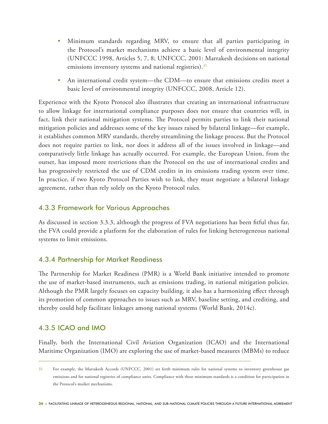- • Minimum standards regarding MRV, to ensure that all parties participating in the Protocol's market mechanisms achieve a basic level of environmental integrity (UNFCCC 1998, Articles 5, 7, 8; UNFCCC, 2001: Marrakesh decisions on national emissions inventory systems and national registries). $31$
- An international credit system—the CDM—to ensure that emissions credits meet a basic level of environmental integrity (UNFCCC, 2008, Article 12).

Experience with the Kyoto Protocol also illustrates that creating an international infrastructure to allow linkage for international compliance purposes does not ensure that countries will, in fact, link their national mitigation systems. The Protocol permits parties to link their national mitigation policies and addresses some of the key issues raised by bilateral linkage—for example, it establishes common MRV standards, thereby streamlining the linkage process. But the Protocol does not require parties to link, nor does it address all of the issues involved in linkage—and comparatively little linkage has actually occurred. For example, the European Union, from the outset, has imposed more restrictions than the Protocol on the use of international credits and has progressively restricted the use of CDM credits in its emissions trading system over time. In practice, if two Kyoto Protocol Parties wish to link, they must negotiate a bilateral linkage agreement, rather than rely solely on the Kyoto Protocol rules.

#### 4.3.3 Framework for Various Approaches

As discussed in section 3.3.3, although the progress of FVA negotiations has been fitful thus far, the FVA could provide a platform for the elaboration of rules for linking heterogeneous national systems to limit emissions.

#### 4.3.4 Partnership for Market Readiness

The Partnership for Market Readiness (PMR) is a World Bank initiative intended to promote the use of market-based instruments, such as emissions trading, in national mitigation policies. Although the PMR largely focuses on capacity building, it also has a harmonizing effect through its promotion of common approaches to issues such as MRV, baseline setting, and crediting, and thereby could help facilitate linkages among national systems (World Bank, 2014c).

### 4.3.5 ICAO and IMO

Finally, both the International Civil Aviation Organization (ICAO) and the International Maritime Organization (IMO) are exploring the use of market-based measures (MBMs) to reduce

<sup>31</sup> For example, the Marrakesh Accords (UNFCCC, 2001) set forth minimum rules for national systems to inventory greenhouse gas emissions and for national registries of compliance units. Compliance with these minimum standards is a condition for participation in the Protocol's market mechanisms.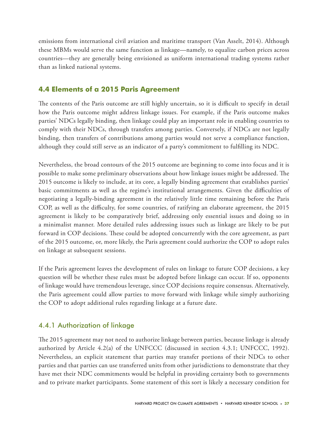emissions from international civil aviation and maritime transport (Van Asselt, 2014). Although these MBMs would serve the same function as linkage—namely, to equalize carbon prices across countries—they are generally being envisioned as uniform international trading systems rather than as linked national systems.

### **4.4 Elements of a 2015 Paris Agreement**

The contents of the Paris outcome are still highly uncertain, so it is difficult to specify in detail how the Paris outcome might address linkage issues. For example, if the Paris outcome makes parties' NDCs legally binding, then linkage could play an important role in enabling countries to comply with their NDCs, through transfers among parties. Conversely, if NDCs are not legally binding, then transfers of contributions among parties would not serve a compliance function, although they could still serve as an indicator of a party's commitment to fulfilling its NDC.

Nevertheless, the broad contours of the 2015 outcome are beginning to come into focus and it is possible to make some preliminary observations about how linkage issues might be addressed. The 2015 outcome is likely to include, at its core, a legally binding agreement that establishes parties' basic commitments as well as the regime's institutional arrangements. Given the difficulties of negotiating a legally-binding agreement in the relatively little time remaining before the Paris COP, as well as the difficulty, for some countries, of ratifying an elaborate agreement, the 2015 agreement is likely to be comparatively brief, addressing only essential issues and doing so in a minimalist manner. More detailed rules addressing issues such as linkage are likely to be put forward in COP decisions. These could be adopted concurrently with the core agreement, as part of the 2015 outcome, or, more likely, the Paris agreement could authorize the COP to adopt rules on linkage at subsequent sessions.

If the Paris agreement leaves the development of rules on linkage to future COP decisions, a key question will be whether these rules must be adopted before linkage can occur. If so, opponents of linkage would have tremendous leverage, since COP decisions require consensus. Alternatively, the Paris agreement could allow parties to move forward with linkage while simply authorizing the COP to adopt additional rules regarding linkage at a future date.

# 4.4.1 Authorization of linkage

The 2015 agreement may not need to authorize linkage between parties, because linkage is already authorized by Article 4.2(a) of the UNFCCC (discussed in section 4.3.1; UNFCCC, 1992). Nevertheless, an explicit statement that parties may transfer portions of their NDCs to other parties and that parties can use transferred units from other jurisdictions to demonstrate that they have met their NDC commitments would be helpful in providing certainty both to governments and to private market participants. Some statement of this sort is likely a necessary condition for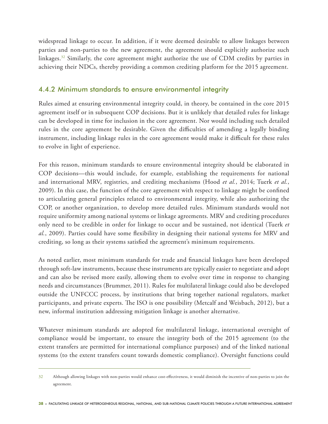widespread linkage to occur. In addition, if it were deemed desirable to allow linkages between parties and non-parties to the new agreement, the agreement should explicitly authorize such linkages.<sup>32</sup> Similarly, the core agreement might authorize the use of CDM credits by parties in achieving their NDCs, thereby providing a common crediting platform for the 2015 agreement.

#### 4.4.2 Minimum standards to ensure environmental integrity

Rules aimed at ensuring environmental integrity could, in theory, be contained in the core 2015 agreement itself or in subsequent COP decisions. But it is unlikely that detailed rules for linkage can be developed in time for inclusion in the core agreement. Nor would including such detailed rules in the core agreement be desirable. Given the difficulties of amending a legally binding instrument, including linkage rules in the core agreement would make it difficult for these rules to evolve in light of experience.

For this reason, minimum standards to ensure environmental integrity should be elaborated in COP decisions—this would include, for example, establishing the requirements for national and international MRV, registries, and crediting mechanisms (Hood *et al.*, 2014; Tuerk *et al.*, 2009). In this case, the function of the core agreement with respect to linkage might be confined to articulating general principles related to environmental integrity, while also authorizing the COP, or another organization, to develop more detailed rules. Minimum standards would not require uniformity among national systems or linkage agreements. MRV and crediting procedures only need to be credible in order for linkage to occur and be sustained, not identical (Tuerk *et al.*, 2009). Parties could have some flexibility in designing their national systems for MRV and crediting, so long as their systems satisfied the agreement's minimum requirements.

As noted earlier, most minimum standards for trade and financial linkages have been developed through soft-law instruments, because these instruments are typically easier to negotiate and adopt and can also be revised more easily, allowing them to evolve over time in response to changing needs and circumstances (Brummer, 2011). Rules for multilateral linkage could also be developed outside the UNFCCC process, by institutions that bring together national regulators, market participants, and private experts. The ISO is one possibility (Metcalf and Weisbach, 2012), but a new, informal institution addressing mitigation linkage is another alternative.

Whatever minimum standards are adopted for multilateral linkage, international oversight of compliance would be important, to ensure the integrity both of the 2015 agreement (to the extent transfers are permitted for international compliance purposes) and of the linked national systems (to the extent transfers count towards domestic compliance). Oversight functions could

<sup>32</sup> Although allowing linkages with non-parties would enhance cost-effectiveness, it would diminish the incentive of non-parties to join the agreement.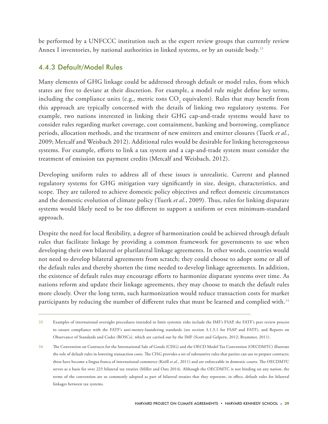be performed by a UNFCCC institution such as the expert review groups that currently review Annex I inventories, by national authorities in linked systems, or by an outside body.<sup>33</sup>

### 4.4.3 Default/Model Rules

Many elements of GHG linkage could be addressed through default or model rules, from which states are free to deviate at their discretion. For example, a model rule might define key terms, including the compliance units (e.g., metric tons  $\mathrm{CO}_2$  equivalent). Rules that may benefit from this approach are typically concerned with the details of linking two regulatory systems. For example, two nations interested in linking their GHG cap-and-trade systems would have to consider rules regarding market coverage, cost containment, banking and borrowing, compliance periods, allocation methods, and the treatment of new emitters and emitter closures (Tuerk *et al.*, 2009; Metcalf and Weisbach 2012). Additional rules would be desirable for linking heterogeneous systems. For example, efforts to link a tax system and a cap-and-trade system must consider the treatment of emission tax payment credits (Metcalf and Weisbach, 2012).

Developing uniform rules to address all of these issues is unrealistic. Current and planned regulatory systems for GHG mitigation vary significantly in size, design, characteristics, and scope. They are tailored to achieve domestic policy objectives and reflect domestic circumstances and the domestic evolution of climate policy (Tuerk *et al.*, 2009). Thus, rules for linking disparate systems would likely need to be too different to support a uniform or even minimum-standard approach.

Despite the need for local flexibility, a degree of harmonization could be achieved through default rules that facilitate linkage by providing a common framework for governments to use when developing their own bilateral or plurilateral linkage agreements. In other words, countries would not need to develop bilateral agreements from scratch; they could choose to adopt some or all of the default rules and thereby shorten the time needed to develop linkage agreements. In addition, the existence of default rules may encourage efforts to harmonize disparate systems over time. As nations reform and update their linkage agreements, they may choose to match the default rules more closely. Over the long term, such harmonization would reduce transaction costs for market participants by reducing the number of different rules that must be learned and complied with.<sup>34</sup>

<sup>33</sup> Examples of international oversight procedures intended to limit systemic risks include the IMF's FSAP, the FATF's peer review process to ensure compliance with the FATF's anti-money-laundering standards (see section 3.1.3.1 for FSAP and FATF), and Reports on Observance of Standards and Codes (ROSCs), which are carried out by the IMF (Scott and Gelpern, 2012; Brummer, 2011).

<sup>34</sup> The Convention on Contracts for the International Sale of Goods (CISG) and the OECD Model Tax Convention (OECDMTC) illustrate the role of default rules in lowering transaction costs. The CISG provides a set of substantive rules that parties can use to prepare contracts; these have become a lingua franca of international commerce (Kröll *et al.*, 2011) and are enforceable in domestic courts. The OECDMTC serves as a basis for over 225 bilateral tax treaties (Miller and Oats 2014). Although the OECDMTC is not binding on any nation, the terms of the convention are so commonly adopted as part of bilateral treaties that they represent, in effect, default rules for bilateral linkages between tax systems.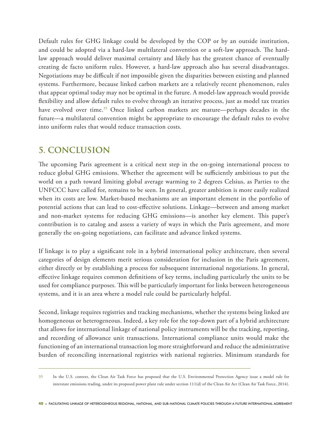Default rules for GHG linkage could be developed by the COP or by an outside institution, and could be adopted via a hard-law multilateral convention or a soft-law approach. The hardlaw approach would deliver maximal certainty and likely has the greatest chance of eventually creating de facto uniform rules. However, a hard-law approach also has several disadvantages. Negotiations may be difficult if not impossible given the disparities between existing and planned systems. Furthermore, because linked carbon markets are a relatively recent phenomenon, rules that appear optimal today may not be optimal in the future. A model-law approach would provide flexibility and allow default rules to evolve through an iterative process, just as model tax treaties have evolved over time.<sup>35</sup> Once linked carbon markets are mature—perhaps decades in the future—a multilateral convention might be appropriate to encourage the default rules to evolve into uniform rules that would reduce transaction costs.

# **5. CONCLUSION**

The upcoming Paris agreement is a critical next step in the on-going international process to reduce global GHG emissions. Whether the agreement will be sufficiently ambitious to put the world on a path toward limiting global average warming to 2 degrees Celsius, as Parties to the UNFCCC have called for, remains to be seen. In general, greater ambition is more easily realized when its costs are low. Market-based mechanisms are an important element in the portfolio of potential actions that can lead to cost-effective solutions. Linkage—between and among market and non-market systems for reducing GHG emissions—is another key element. This paper's contribution is to catalog and assess a variety of ways in which the Paris agreement, and more generally the on-going negotiations, can facilitate and advance linked systems.

If linkage is to play a significant role in a hybrid international policy architecture, then several categories of design elements merit serious consideration for inclusion in the Paris agreement, either directly or by establishing a process for subsequent international negotiations. In general, effective linkage requires common definitions of key terms, including particularly the units to be used for compliance purposes. This will be particularly important for links between heterogeneous systems, and it is an area where a model rule could be particularly helpful.

Second, linkage requires registries and tracking mechanisms, whether the systems being linked are homogeneous or heterogeneous. Indeed, a key role for the top-down part of a hybrid architecture that allows for international linkage of national policy instruments will be the tracking, reporting, and recording of allowance unit transactions. International compliance units would make the functioning of an international transaction log more straightforward and reduce the administrative burden of reconciling international registries with national registries. Minimum standards for

<sup>35</sup> In the U.S. context, the Clean Air Task Force has proposed that the U.S. Environmental Protection Agency issue a model rule for interstate emissions trading, under its proposed power plant rule under section 111(d) of the Clean Air Act (Clean Air Task Force, 2014).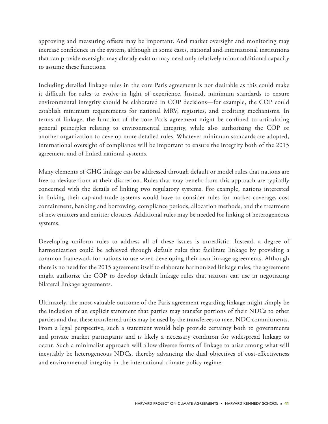approving and measuring offsets may be important. And market oversight and monitoring may increase confidence in the system, although in some cases, national and international institutions that can provide oversight may already exist or may need only relatively minor additional capacity to assume these functions.

Including detailed linkage rules in the core Paris agreement is not desirable as this could make it difficult for rules to evolve in light of experience. Instead, minimum standards to ensure environmental integrity should be elaborated in COP decisions—for example, the COP could establish minimum requirements for national MRV, registries, and crediting mechanisms. In terms of linkage, the function of the core Paris agreement might be confined to articulating general principles relating to environmental integrity, while also authorizing the COP or another organization to develop more detailed rules. Whatever minimum standards are adopted, international oversight of compliance will be important to ensure the integrity both of the 2015 agreement and of linked national systems.

Many elements of GHG linkage can be addressed through default or model rules that nations are free to deviate from at their discretion. Rules that may benefit from this approach are typically concerned with the details of linking two regulatory systems. For example, nations interested in linking their cap-and-trade systems would have to consider rules for market coverage, cost containment, banking and borrowing, compliance periods, allocation methods, and the treatment of new emitters and emitter closures. Additional rules may be needed for linking of heterogeneous systems.

Developing uniform rules to address all of these issues is unrealistic. Instead, a degree of harmonization could be achieved through default rules that facilitate linkage by providing a common framework for nations to use when developing their own linkage agreements. Although there is no need for the 2015 agreement itself to elaborate harmonized linkage rules, the agreement might authorize the COP to develop default linkage rules that nations can use in negotiating bilateral linkage agreements.

Ultimately, the most valuable outcome of the Paris agreement regarding linkage might simply be the inclusion of an explicit statement that parties may transfer portions of their NDCs to other parties and that these transferred units may be used by the transferees to meet NDC commitments. From a legal perspective, such a statement would help provide certainty both to governments and private market participants and is likely a necessary condition for widespread linkage to occur. Such a minimalist approach will allow diverse forms of linkage to arise among what will inevitably be heterogeneous NDCs, thereby advancing the dual objectives of cost-effectiveness and environmental integrity in the international climate policy regime.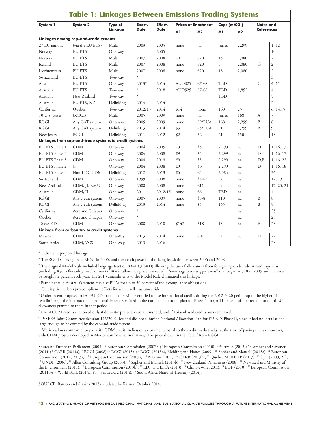| <b>Table 1: Linkages Between Emissions Trading Systems</b> |                     |           |             |             |                            |               |                           |       |                   |                |
|------------------------------------------------------------|---------------------|-----------|-------------|-------------|----------------------------|---------------|---------------------------|-------|-------------------|----------------|
| System 1                                                   | System <sub>2</sub> | Type of   | Enact.      | Effect.     | <b>Prices at Enactment</b> |               | Caps (mtCO <sub>2</sub> ) |       | <b>Notes and</b>  |                |
|                                                            |                     | Linkage   | <b>Date</b> | <b>Date</b> | #1                         | #2            | #1                        | #2    | <b>References</b> |                |
| Linkages among cap-and-trade systems                       |                     |           |             |             |                            |               |                           |       |                   |                |
| 27 EU nations                                              | (via the EU ETS)    | Multi     | 2003        | 2005        | none                       | na            | varied                    | 2,299 |                   | 1, 12          |
| Norway                                                     | <b>EU ETS</b>       | One-way   |             | 2005        |                            |               |                           |       |                   | 10             |
| Norway                                                     | <b>EU ETS</b>       | Multi     | 2007        | 2008        | €0                         | €20           | 15                        | 2,080 |                   | $\overline{c}$ |
| Iceland                                                    | <b>EU ETS</b>       | Multi     | 2007        | 2008        | none                       | €20           | $\Omega$                  | 2,080 | G                 | $\overline{2}$ |
| Liechtenstein                                              | <b>EU ETS</b>       | Multi     | 2007        | 2008        | none                       | €20           | 18                        | 2,080 |                   | $\overline{2}$ |
| Switzerland                                                | <b>EU ETS</b>       | Two-way   | $\ast$      |             |                            |               |                           |       |                   | 3              |
| Australia                                                  | <b>EU ETS</b>       | One-way   | $2013*$     | 2014        | AUD\$25                    | €7-€8         | TBD                       |       | $\mathsf{C}$      | 4, 11          |
| Australia                                                  | <b>EU ETS</b>       | Two-way   | $\ast$      | 2018        | AUD\$25                    | €7-€8         | TBD                       | 1,852 |                   | 4              |
| Australia                                                  | New Zealand         | Two-way   | $\ast$      |             |                            |               | TBD                       |       |                   | 5              |
| Australia                                                  | EU ETS, NZ          | Delinking | 2014        | 2014        |                            |               |                           |       |                   | 24             |
| California                                                 | Quebec              | Two-way   | 2012/13     | 2014        | \$14                       | none          | 160                       | 25    |                   | 6, 14, 15      |
| 10 U.S. states                                             | (RGGI)              | Multi     | 2005        | 2009        | none                       | na            | varied                    | 168   | A                 | 7              |
| <b>RGGI</b>                                                | Any CAT system      | One-way   | 2005        | 2009        | none                       | €9/EUA        | 168                       | 2,299 | B                 | 8              |
| <b>RGGI</b>                                                | Any CAT system      | Delinking | 2013        | 2014        | \$3                        | €5/EUA        | 91                        | 2,299 | B                 | 9              |
| New Jersey                                                 | <b>RGGI</b>         | Delinking | 2011        | 2012        | \$2                        | \$2           | 21                        | 150   |                   | 13             |
| Linkages from cap-and-trade systems to credit systems      |                     |           |             |             |                            |               |                           |       |                   |                |
| EU ETS Phase 1                                             | <b>CDM</b>          | One-way   | 2004        | 2005        | €9                         | \$5           | 2,299                     | na    | $\mathsf{D}$      | 1, 16, 17      |
| EU ETS Phase 2                                             | <b>CDM</b>          | One-way   | 2004        | 2008        | €9                         | \$5           | 2,299                     | na    | $\mathcal{D}$     | 1, 16, 17      |
| EU ETS Phase 3                                             | <b>CDM</b>          | One-way   | 2004        | 2013        | €9                         | \$5           | 2,299                     | na    | D,E               | 1, 16, 22      |
| EU ETS Phase 2                                             | П                   | One-way   | 2004        | 2008        | €9                         | \$6           | 2,299                     | na    | $\mathcal{D}$     | 1, 16, 18      |
| EU ETS Phase 3                                             | Non-LDC CDM         | Delinking | 2012        | 2013        | $\epsilon$ 6               | $\epsilon$ 4  | 2,084                     | na    |                   | 26             |
| Switzerland                                                | <b>CDM</b>          | One-way   | 1999        | 2008        | none                       | $$4-$7$       | na                        | na    |                   | 17, 19         |
| New Zealand                                                | CDM, JI, RMU        | One-way   | 2008        | 2008        | none                       | €11           | na                        | na    |                   | 17, 20, 21     |
| Australia                                                  | CDM, JI             | One-way   | 2011        | 2012/15     | none                       | €6            | TBD                       | na    |                   | 4              |
| <b>RGGI</b>                                                | Any credit system   | One-way   | 2005        | 2009        | none                       | $$5 - 8$      | 110                       | na    | $\mathbf{B}$      | 8              |
| <b>RGGI</b>                                                | Any credit system   | Delinking | 2013        | 2014        | none                       | \$5           | 165                       | na    | $\mathbf{B}$      | 9              |
| California                                                 | Acre and Chiapas    | One-way   | $\ast$      |             |                            |               |                           | na    |                   | 25             |
| Quebec                                                     | Acre and Chiapas    | One-way   | $\ast$      |             |                            |               |                           | na    |                   | 25             |
| Tokyo ETS                                                  | <b>CDM</b>          | One-way   | 2008        | 2010        | \$142                      | \$18          | 13                        | na    | $\mathbf{F}$      | 23             |
| Linkage from carbon tax to credit systems                  |                     |           |             |             |                            |               |                           |       |                   |                |
| Mexico                                                     | <b>CDM</b>          | One-Way   | 2013        | 2014        | none                       | $\epsilon$ .4 | na                        | na    | H                 | 27             |
| South Africa                                               | CDM, VCS            | One-Way   | 2013        | 2016        |                            |               |                           |       |                   | 28             |

\* indicates a proposed linkage.

<sup>A</sup> The RGGI states signed a MOU in 2005, and then each passed authorizing legislation between 2006 and 2008.

<sup>B</sup> The original Model Rule included language (section XX-10.3(b)(1)) allowing the use of allowances from foreign cap-and-trade or credit systems (including Kyoto flexibility mechanisms) if RGGI allowance prices exceeded a "two-stage price trigger event" that began at \$10 in 2005 and increased by roughly 2 percent each year. The 2013 amendments to the Model Rule eliminated this linkage.

C Participants in Australia's system may use EUAs for up to 50 percent of their compliance obligations.

<sup>D</sup> Credit price reflects pre-compliance offsets for which seller assumes risk.

E Under recent proposed rules, EU ETS participants will be entitled to use international credits during the 2012-2020 period up to the higher of two limits: (a) the international credit entitlement specified in the national allocation plan for Phase 2; or (b) 11 percent of the free allocation of EU allowances granted to them in that period.

F Use of CDM credits is allowed only if domestic prices exceed a threshold, and if Tokyo-based credits are used as well.

G Per EEA Joint Committee decision 146/2007, Iceland did not submit a National Allocation Plan for EU ETS Phase II, since it had no installations large enough to be covered by the cap-and-trade system.

<sup>H</sup> Mexico allows companies to pay with CDM credits in lieu of tax payments equal to the credit market value at the time of paying the tax; however, only CDM projects developed in Mexico can be used in this way. The price shown in the table if from RGGI.

Sources: ' European Parliament (2004); <sup>2</sup> European Commission (2007b); <sup>3</sup> European Commission (2010); <sup>4</sup> Australia (2013); <sup>5</sup> Combet and Grosner (2011); <sup>6</sup> CARB (2013a); <sup>7</sup> RGGI (2008); <sup>8</sup> RGGI (2013a); <sup>9</sup> RGGI (2013b), Mehling and Haites (2009); <sup>10</sup> Sopher and Mansell (2013a); <sup>11</sup> European Commission (2012, 2013a); <sup>12</sup> European Commission (2007a); <sup>13</sup> NJ.com (2011); <sup>14</sup> CARB (2013b); <sup>15</sup> Quebec MDDEFP (2013); <sup>16</sup> Sijm (2009, 21); <sup>17</sup> UNDP (2006); <sup>18</sup> Allen Consulting Group (2005); <sup>19</sup> Sopher and Mans the Environment (2011); <sup>22</sup> European Commission (2013b); <sup>23</sup> EDF and IETA (2013); <sup>24</sup> ClimateWire, 2013; <sup>25</sup> EDF (2010); <sup>26</sup> European Commission (2011b); 27 World Bank (2014a, 81), SendeCO2 (2014). 28 South Africa National Treasury (2014).

SOURCE: Ranson and Stavins 2013a, updated by Ranson October 2014.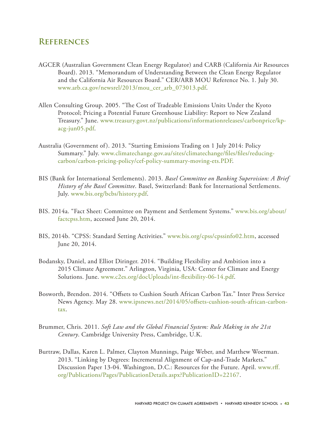# **References**

- AGCER (Australian Government Clean Energy Regulator) and CARB (California Air Resources Board). 2013. "Memorandum of Understanding Between the Clean Energy Regulator and the California Air Resources Board." CER/ARB MOU Reference No. 1. July 30. [www.arb.ca.gov/newsrel/2013/mou\\_cer\\_arb\\_073013.pdf.](http://www.arb.ca.gov/newsrel/2013/mou_cer_arb_073013.pdf)
- Allen Consulting Group. 2005. "The Cost of Tradeable Emissions Units Under the Kyoto Protocol; Pricing a Potential Future Greenhouse Liability: Report to New Zealand Treasury." June. [www.treasury.govt.nz/publications/informationreleases/carbonprice/kp](http://www.treasury.govt.nz/publications/informationreleases/carbonprice/kp-acg-jun05.pdf)[acg-jun05.pdf.](http://www.treasury.govt.nz/publications/informationreleases/carbonprice/kp-acg-jun05.pdf)
- Australia (Government of). 2013. "Starting Emissions Trading on 1 July 2014: Policy Summary." July. [www.climatechange.gov.au/sites/climatechange/files/files/reducing](http://www.climatechange.gov.au/sites/climatechange/files/files/reducing-carbon/carbon-pricing-policy/cef-policy-summary-moving-ets.PDF)[carbon/carbon-pricing-policy/cef-policy-summary-moving-ets.PDF](http://www.climatechange.gov.au/sites/climatechange/files/files/reducing-carbon/carbon-pricing-policy/cef-policy-summary-moving-ets.PDF).
- BIS (Bank for International Settlements). 2013. *Basel Committee on Banking Supervision: A Brief History of the Basel Committee*. Basel, Switzerland: Bank for International Settlements. July. [www.bis.org/bcbs/history.pdf](http://www.bis.org/bcbs/history.pdf).
- BIS. 2014a. "Fact Sheet: Committee on Payment and Settlement Systems." [www.bis.org/about/](http://www.bis.org/about/factcpss.htm) [factcpss.htm,](http://www.bis.org/about/factcpss.htm) accessed June 20, 2014.
- BIS, 2014b. "CPSS: Standard Setting Activities." [www.bis.org/cpss/cpssinfo02.htm](http://www.bis.org/cpss/cpssinfo02.htm), accessed June 20, 2014.
- Bodansky, Daniel, and Elliot Diringer. 2014. "Building Flexibility and Ambition into a 2015 Climate Agreement." Arlington, Virginia, USA: Center for Climate and Energy Solutions. June. [www.c2es.org/docUploads/int-flexibility-06-14.pdf.](http://www.c2es.org/docUploads/int-flexibility-06-14.pdf)
- Bosworth, Brendon. 2014. "Offsets to Cushion South African Carbon Tax." Inter Press Service News Agency. May 28. [www.ipsnews.net/2014/05/offsets-cushion-south-african-carbon](http://www.ipsnews.net/2014/05/offsets-cushion-south-african-carbon-tax)[tax](http://www.ipsnews.net/2014/05/offsets-cushion-south-african-carbon-tax).
- Brummer, Chris. 2011. *Soft Law and the Global Financial System: Rule Making in the 21st Century*. Cambridge University Press, Cambridge, U.K.
- Burtraw, Dallas, Karen L. Palmer, Clayton Munnings, Paige Weber, and Matthew Woerman. 2013. "Linking by Degrees: Incremental Alignment of Cap-and-Trade Markets." Discussion Paper 13-04. Washington, D.C.: Resources for the Future. April. [www.rff.](http://www.rff.org/Publications/Pages/PublicationDetails.aspx?PublicationID=22167) [org/Publications/Pages/PublicationDetails.aspx?PublicationID=22167](http://www.rff.org/Publications/Pages/PublicationDetails.aspx?PublicationID=22167).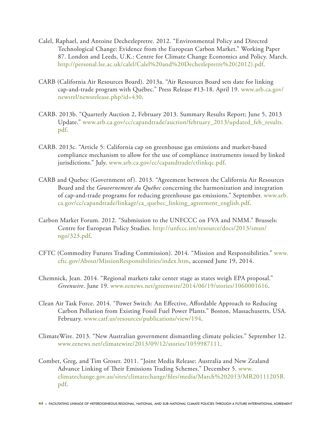- Calel, Raphael, and Antoine Dechezlepretre. 2012. "Environmental Policy and Directed Technological Change: Evidence from the European Carbon Market." Working Paper 87. London and Leeds, U.K.: Centre for Climate Change Economics and Policy. March. [http://personal.lse.ac.uk/calel/Calel%20and%20Dechezlepretre%20\(2012\).pdf.](http://personal.lse.ac.uk/calel/Calel%20and%20Dechezlepretre%20(2012).pdf)
- CARB (California Air Resources Board). 2013a. "Air Resources Board sets date for linking cap-and-trade program with Québec." Press Release #13-18. April 19. [www.arb.ca.gov/](http://www.arb.ca.gov/newsrel/newsrelease.php?id=430) [newsrel/newsrelease.php?id=430.](http://www.arb.ca.gov/newsrel/newsrelease.php?id=430)
- CARB. 2013b. "Quarterly Auction 2, February 2013. Summary Results Report; June 5, 2013 Update." [www.arb.ca.gov/cc/capandtrade/auction/february\\_2013/updated\\_feb\\_results.](http://www.arb.ca.gov/cc/capandtrade/auction/february_2013/updated_feb_results.pdf) [pdf](http://www.arb.ca.gov/cc/capandtrade/auction/february_2013/updated_feb_results.pdf).
- CARB. 2013c. "Article 5: California cap on greenhouse gas emissions and market-based compliance mechanism to allow for the use of compliance instruments issued by linked jurisdictions." July. [www.arb.ca.gov/cc/capandtrade/ctlinkqc.pdf](http://www.arb.ca.gov/cc/capandtrade/ctlinkqc.pdf).
- CARB and Quebec (Government of). 2013. "Agreement between the California Air Resources Board and the *Gouvernement du Québec* concerning the harmonization and integration of cap-and-trade programs for reducing greenhouse gas emissions." September. [www.arb.](http://www.arb.ca.gov/cc/capandtrade/linkage/ca_quebec_linking_agreement_english.pdf) [ca.gov/cc/capandtrade/linkage/ca\\_quebec\\_linking\\_agreement\\_english.pdf.](http://www.arb.ca.gov/cc/capandtrade/linkage/ca_quebec_linking_agreement_english.pdf)
- Carbon Market Forum. 2012. "Submission to the UNFCCC on FVA and NMM." Brussels: Centre for European Policy Studies. [http://unfccc.int/resource/docs/2013/smsn/](http://unfccc.int/resource/docs/2013/smsn/ngo/323.pdf) [ngo/323.pdf.](http://unfccc.int/resource/docs/2013/smsn/ngo/323.pdf)
- CFTC (Commodity Futures Trading Commission). 2014. "Mission and Responsibilities." [www.](http://www.cftc.gov/About/MissionResponsibilities/index.htm) [cftc.gov/About/MissionResponsibilities/index.htm,](http://www.cftc.gov/About/MissionResponsibilities/index.htm) accessed June 19, 2014.
- Chemnick, Jean. 2014. "Regional markets take center stage as states weigh EPA proposal." *Greenwire*. June 19. [www.eenews.net/greenwire/2014/06/19/stories/1060001616.](http://www.eenews.net/greenwire/2014/06/19/stories/1060001616)
- Clean Air Task Force. 2014. "Power Switch: An Effective, Affordable Approach to Reducing Carbon Pollution from Existing Fossil Fuel Power Plants." Boston, Massachusetts, USA. February. [www.catf.us/resources/publications/view/194.](http://www.catf.us/resources/publications/view/194)
- ClimateWire. 2013. "New Australian government dismantling climate policies." September 12. [www.eenews.net/climatewire/2013/09/12/stories/1059987111](http://www.eenews.net/climatewire/2013/09/12/stories/1059987111).
- Combet, Greg, and Tim Groser. 2011. "Joint Media Release: Australia and New Zealand Advance Linking of Their Emissions Trading Schemes." December 5. [www.](http://www.climatechange.gov.au/sites/climatechange/files/media/March%202013/MR20111205B.pdf) [climatechange.gov.au/sites/climatechange/files/media/March%202013/MR20111205B.](http://www.climatechange.gov.au/sites/climatechange/files/media/March%202013/MR20111205B.pdf) [pdf](http://www.climatechange.gov.au/sites/climatechange/files/media/March%202013/MR20111205B.pdf).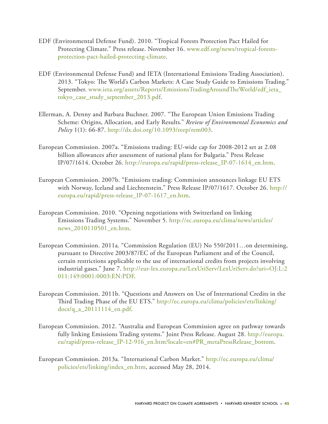- EDF (Environmental Defense Fund). 2010. "Tropical Forests Protection Pact Hailed for Protecting Climate." Press release. November 16. [www.edf.org/news/tropical-forests](http://www.edf.org/news/tropical-forests-protection-pact-hailed-protecting-climate)[protection-pact-hailed-protecting-climate.](http://www.edf.org/news/tropical-forests-protection-pact-hailed-protecting-climate)
- EDF (Environmental Defense Fund) and IETA (International Emissions Trading Association). 2013. "Tokyo: The World's Carbon Markets: A Case Study Guide to Emissions Trading." September. [www.ieta.org/assets/Reports/EmissionsTradingAroundTheWorld/edf\\_ieta\\_](http://www.ieta.org/assets/Reports/EmissionsTradingAroundTheWorld/edf_ieta_tokyo_case_study_september_2013.pdf) [tokyo\\_case\\_study\\_september\\_2013.pdf.](http://www.ieta.org/assets/Reports/EmissionsTradingAroundTheWorld/edf_ieta_tokyo_case_study_september_2013.pdf)
- Ellerman, A. Denny and Barbara Buchner. 2007. "The European Union Emissions Trading Scheme: Origins, Allocation, and Early Results." *Review of Environmental Economics and Policy* 1(1): 66-87. <http://dx.doi.org/10.1093/reep/rem003>.
- European Commission. 2007a. "Emissions trading: EU-wide cap for 2008-2012 set at 2.08 billion allowances after assessment of national plans for Bulgaria." Press Release IP/07/1614. October 26. [http://europa.eu/rapid/press-release\\_IP-07-1614\\_en.htm](http://europa.eu/rapid/press-release_IP-07-1614_en.htm).
- European Commission. 2007b. "Emissions trading: Commission announces linkage EU ETS with Norway, Iceland and Liechtenstein." Press Release IP/07/1617. October 26. [http://](http://europa.eu/rapid/press-release_IP-07-1617_en.htm) [europa.eu/rapid/press-release\\_IP-07-1617\\_en.htm](http://europa.eu/rapid/press-release_IP-07-1617_en.htm).
- European Commission. 2010. "Opening negotiations with Switzerland on linking Emissions Trading Systems." November 5. [http://ec.europa.eu/clima/news/articles/](http://ec.europa.eu/clima/news/articles/news_2010110501_en.htm) [news\\_2010110501\\_en.htm.](http://ec.europa.eu/clima/news/articles/news_2010110501_en.htm)
- European Commission. 2011a. "Commission Regulation (EU) No 550/2011…on determining, pursuant to Directive 2003/87/EC of the European Parliament and of the Council, certain restrictions applicable to the use of international credits from projects involving industrial gases." June 7. [http://eur-lex.europa.eu/LexUriServ/LexUriServ.do?uri=OJ:L:2](http://eur-lex.europa.eu/LexUriServ/LexUriServ.do?uri=OJ:L:2011:149:0001:0003:EN:PDF) [011:149:0001:0003:EN:PDF.](http://eur-lex.europa.eu/LexUriServ/LexUriServ.do?uri=OJ:L:2011:149:0001:0003:EN:PDF)
- European Commission. 2011b. "Questions and Answers on Use of International Credits in the Third Trading Phase of the EU ETS." [http://ec.europa.eu/clima/policies/ets/linking/](http://ec.europa.eu/clima/policies/ets/linking/docs/q_a_20111114_en.pdf) [docs/q\\_a\\_20111114\\_en.pdf.](http://ec.europa.eu/clima/policies/ets/linking/docs/q_a_20111114_en.pdf)
- European Commission. 2012. "Australia and European Commission agree on pathway towards fully linking Emissions Trading systems." Joint Press Release. August 28. http://europa. eu/rapid/press-release\_IP-12-916\_en.htm?locale=en#PR\_metaPressRelease\_bottom.
- European Commission. 2013a. "International Carbon Market." [http://ec.europa.eu/clima/](http://ec.europa.eu/clima/policies/ets/linking/index_en.htm) [policies/ets/linking/index\\_en.htm](http://ec.europa.eu/clima/policies/ets/linking/index_en.htm), accessed May 28, 2014.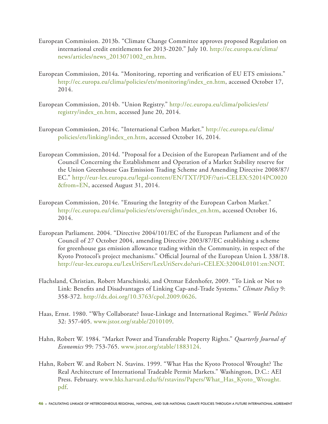- European Commission. 2013b. "Climate Change Committee approves proposed Regulation on international credit entitlements for 2013-2020." July 10. [http://ec.europa.eu/clima/](http://ec.europa.eu/clima/news/articles/news_2013071002_en.htm) [news/articles/news\\_2013071002\\_en.htm.](http://ec.europa.eu/clima/news/articles/news_2013071002_en.htm)
- European Commission, 2014a. "Monitoring, reporting and verification of EU ETS emissions." [http://ec.europa.eu/clima/policies/ets/monitoring/index\\_en.htm,](http://ec.europa.eu/clima/policies/ets/monitoring/index_en.htm) accessed October 17, 2014.
- European Commission, 2014b. "Union Registry." [http://ec.europa.eu/clima/policies/ets/](http://ec.europa.eu/clima/policies/ets/registry/index_en.htm) [registry/index\\_en.htm,](http://ec.europa.eu/clima/policies/ets/registry/index_en.htm) accessed June 20, 2014.
- European Commission, 2014c. "International Carbon Market." [http://ec.europa.eu/clima/](http://ec.europa.eu/clima/policies/ets/linking/index_en.htm) [policies/ets/linking/index\\_en.htm](http://ec.europa.eu/clima/policies/ets/linking/index_en.htm), accessed October 16, 2014.
- European Commission, 2014d. "Proposal for a Decision of the European Parliament and of the Council Concerning the Establishment and Operation of a Market Stability reserve for the Union Greenhouse Gas Emission Trading Scheme and Amending Directive 2008/87/ EC." [http://eur-lex.europa.eu/legal-content/EN/TXT/PDF/?uri=CELEX:52014PC0020](http://eur-lex.europa.eu/legal-content/EN/TXT/PDF/?uri=CELEX:52014PC0020&from=EN) [&from=EN,](http://eur-lex.europa.eu/legal-content/EN/TXT/PDF/?uri=CELEX:52014PC0020&from=EN) accessed August 31, 2014.
- European Commission, 2014e. "Ensuring the Integrity of the European Carbon Market." [http://ec.europa.eu/clima/policies/ets/oversight/index\\_en.htm](http://ec.europa.eu/clima/policies/ets/oversight/index_en.htm), accessed October 16, 2014.
- European Parliament. 2004. "Directive 2004/101/EC of the European Parliament and of the Council of 27 October 2004, amending Directive 2003/87/EC establishing a scheme for greenhouse gas emission allowance trading within the Community, in respect of the Kyoto Protocol's project mechanisms." Official Journal of the European Union L 338/18. <http://eur-lex.europa.eu/LexUriServ/LexUriServ.do?uri=CELEX:32004L0101:en:NOT>.
- Flachsland, Christian, Robert Marschinski, and Ottmar Edenhofer, 2009. "To Link or Not to Link: Benefits and Disadvantages of Linking Cap-and-Trade Systems." *Climate Policy* 9: 358-372. <http://dx.doi.org/10.3763/cpol.2009.0626>.
- Haas, Ernst. 1980. "Why Collaborate? Issue-Linkage and International Regimes." *World Politics*  32: 357-405. [www.jstor.org/stable/2010109](http://www.jstor.org/stable/2010109).
- Hahn, Robert W. 1984. "Market Power and Transferable Property Rights." *Quarterly Journal of Economics* 99: 753-765. [www.jstor.org/stable/1883124.](http://www.jstor.org/stable/1883124)
- Hahn, Robert W. and Robert N. Stavins. 1999. "What Has the Kyoto Protocol Wrought? The Real Architecture of International Tradeable Permit Markets." Washington, D.C.: AEI Press. February. [www.hks.harvard.edu/fs/rstavins/Papers/What\\_Has\\_Kyoto\\_Wrought.](http://www.hks.harvard.edu/fs/rstavins/Papers/What_Has_Kyoto_Wrought.pdf) [pdf](http://www.hks.harvard.edu/fs/rstavins/Papers/What_Has_Kyoto_Wrought.pdf).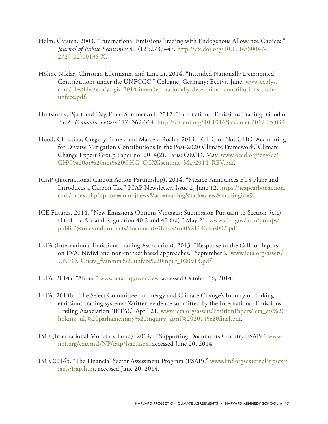- Helm, Carsten. 2003. "International Emissions Trading with Endogenous Allowance Choices." *Journal of Public Economics* 87 (12):2737–47. [http://dx.doi.org/10.1016/S0047-](http://dx.doi.org/10.1016/S0047-2727(02)00138-X) [2727\(02\)00138-X.](http://dx.doi.org/10.1016/S0047-2727(02)00138-X)
- Höhne Niklas, Christian Ellermann, and Lina Li. 2014. "Intended Nationally Determined Contributions under the UNFCCC." Cologne, Germany: Ecofys. June. [www.ecofys.](http://www.ecofys.com/files/files/ecofys-giz-2014-intended-nationally-determined-contributions-under-unfccc.pdf) [com/files/files/ecofys-giz-2014-intended-nationally-determined-contributions-under](http://www.ecofys.com/files/files/ecofys-giz-2014-intended-nationally-determined-contributions-under-unfccc.pdf)[unfccc.pdf](http://www.ecofys.com/files/files/ecofys-giz-2014-intended-nationally-determined-contributions-under-unfccc.pdf).
- Holtsmark, Bjart and Dag Einar Sommervoll. 2012. "International Emissions Trading: Good or Bad?" *Economic Letters* 117: 362-364. <http://dx.doi.org/10.1016/j.econlet.2012.05.034>.
- Hood, Christina, Gregory Briner, and Marcelo Rocha. 2014. "GHG or Not GHG: Accounting for Diverse Mitigation Contributions in the Post-2020 Climate Framework."Climate Change Expert Group Paper no. 2014(2). Paris: OECD. May. [www.oecd.org/env/cc/](http://www.oecd.org/env/cc/GHG%20or%20not%20GHG_CCXGsentout_May2014_REV.pdf) [GHG%20or%20not%20GHG\\_CCXGsentout\\_May2014\\_REV.pdf.](http://www.oecd.org/env/cc/GHG%20or%20not%20GHG_CCXGsentout_May2014_REV.pdf)
- ICAP (International Carbon Action Partnership). 2014. "Mexico Announces ETS Plans and Introduces a Carbon Tax." ICAP Newsletter, Issue 2, June 12. [https://icapcarbonaction.](https://icapcarbonaction.com/index.php?option=com_jnews&act=mailing&task=view&mailingid=9) [com/index.php?option=com\\_jnews&act=mailing&task=view&mailingid=9](https://icapcarbonaction.com/index.php?option=com_jnews&act=mailing&task=view&mailingid=9).
- ICE Futures. 2014. "New Emissions Options Vintages: Submission Pursuant to Section 5c(c) (1) of the Act and Regulation 40.2 and 40.6(a)." May 21. [www.cftc.gov/ucm/groups/](http://www.cftc.gov/ucm/groups/public/@rulesandproducts/documents/ifdocs/rul052114iceus002.pdf) [public/@rulesandproducts/documents/ifdocs/rul052114iceus002.pdf](http://www.cftc.gov/ucm/groups/public/@rulesandproducts/documents/ifdocs/rul052114iceus002.pdf).
- IETA (International Emissions Trading Association). 2013. "Response to the Call for Inputs on FVA, NMM and non-market based approaches." September 2. [www.ieta.org/assets/](http://www.ieta.org/assets/UNFCCC/ieta_fvanmm%20unfccc%20input_020913.pdf) [UNFCCC/ieta\\_fvanmm%20unfccc%20input\\_020913.pdf](http://www.ieta.org/assets/UNFCCC/ieta_fvanmm%20unfccc%20input_020913.pdf).
- IETA. 2014a. "About." [www.ieta.org/overview,](http://www.ieta.org/overview) accessed October 16, 2014.
- IETA. 2014b. "The Select Committee on Energy and Climate Change's Inquiry on linking emissions trading systems: Written evidence submitted by the International Emissions Trading Association (IETA)." April 21. [www.ieta.org/assets/PositionPapers/ieta\\_ets%20](http://www.ieta.org/assets/PositionPapers/ieta_ets%20linking_uk%20parliamentary%20inquiry_april%202014%20final.pdf) [linking\\_uk%20parliamentary%20inquiry\\_april%202014%20final.pdf.](http://www.ieta.org/assets/PositionPapers/ieta_ets%20linking_uk%20parliamentary%20inquiry_april%202014%20final.pdf)
- IMF (International Monetary Fund). 2014a. "Supporting Documents Country FSAPs." [www.](http://www.imf.org/external/NP/fsap/fsap.aspx) [imf.org/external/NP/fsap/fsap.aspx,](http://www.imf.org/external/NP/fsap/fsap.aspx) accessed June 20, 2014.
- IMF. 2014b. "The Financial Sector Assessment Program (FSAP)." [www.imf.org/external/np/exr/](http://www.imf.org/external/np/exr/facts/fsap.htm) [facts/fsap.htm](http://www.imf.org/external/np/exr/facts/fsap.htm), accessed June 20, 2014.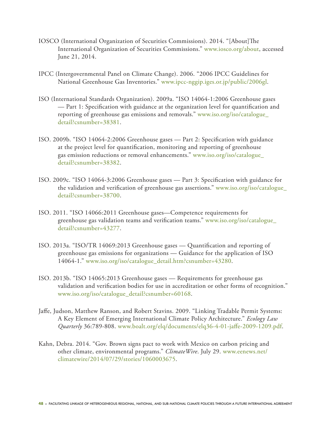- IOSCO (International Organization of Securities Commissions). 2014. "[About]The International Organization of Securities Commissions." [www.iosco.org/about,](http://www.iosco.org/about) accessed June 21, 2014.
- IPCC (Intergovernmental Panel on Climate Change). 2006. "2006 IPCC Guidelines for National Greenhouse Gas Inventories." [www.ipcc-nggip.iges.or.jp/public/2006gl](http://www.ipcc-nggip.iges.or.jp/public/2006gl).
- ISO (International Standards Organization). 2009a. "ISO 14064-1:2006 Greenhouse gases — Part 1: Specification with guidance at the organization level for quantification and reporting of greenhouse gas emissions and removals." [www.iso.org/iso/catalogue\\_](http://www.iso.org/iso/catalogue_detail?csnumber=38381) [detail?csnumber=38381.](http://www.iso.org/iso/catalogue_detail?csnumber=38381)
- ISO. 2009b. "ISO 14064-2:2006 Greenhouse gases Part 2: Specification with guidance at the project level for quantification, monitoring and reporting of greenhouse gas emission reductions or removal enhancements." [www.iso.org/iso/catalogue\\_](http://www.iso.org/iso/catalogue_detail?csnumber=38382) [detail?csnumber=38382.](http://www.iso.org/iso/catalogue_detail?csnumber=38382)
- ISO. 2009c. "ISO 14064-3:2006 Greenhouse gases Part 3: Specification with guidance for the validation and verification of greenhouse gas assertions." [www.iso.org/iso/catalogue\\_](http://www.iso.org/iso/catalogue_detail?csnumber=38700) [detail?csnumber=38700.](http://www.iso.org/iso/catalogue_detail?csnumber=38700)
- ISO. 2011. "ISO 14066:2011 Greenhouse gases—Competence requirements for greenhouse gas validation teams and verification teams." [www.iso.org/iso/catalogue\\_](http://www.iso.org/iso/catalogue_detail?csnumber=43277) [detail?csnumber=43277.](http://www.iso.org/iso/catalogue_detail?csnumber=43277)
- ISO. 2013a. "ISO/TR 14069:2013 Greenhouse gases Quantification and reporting of greenhouse gas emissions for organizations — Guidance for the application of ISO 14064-1." [www.iso.org/iso/catalogue\\_detail.htm?csnumber=43280.](http://www.iso.org/iso/catalogue_detail.htm?csnumber=43280)
- ISO. 2013b. "ISO 14065:2013 Greenhouse gases Requirements for greenhouse gas validation and verification bodies for use in accreditation or other forms of recognition." [www.iso.org/iso/catalogue\\_detail?csnumber=60168](http://www.iso.org/iso/catalogue_detail?csnumber=60168).
- Jaffe, Judson, Matthew Ranson, and Robert Stavins. 2009. "Linking Tradable Permit Systems: A Key Element of Emerging International Climate Policy Architecture." *Ecology Law Quarterly* 36:789-808. [www.boalt.org/elq/documents/elq36-4-01-jaffe-2009-1209.pdf](http://www.boalt.org/elq/documents/elq36-4-01-jaffe-2009-1209.pdf).
- Kahn, Debra. 2014. "Gov. Brown signs pact to work with Mexico on carbon pricing and other climate, environmental programs." *ClimateWire*. July 29. [www.eenews.net/](http://www.eenews.net/climatewire/2014/07/29/stories/1060003675) [climatewire/2014/07/29/stories/1060003675.](http://www.eenews.net/climatewire/2014/07/29/stories/1060003675)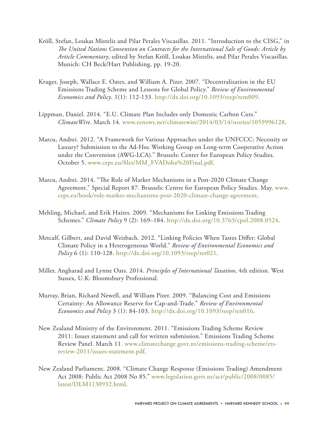- Kröll, Stefan, Loukas Mistelis and Pilar Perales Viscasillas. 2011. "Introduction to the CISG," in *The United Nations Convention on Contracts for the International Sale of Goods: Article by Article Commentary*, edited by Stefan Kröll, Loukas Mistelis, and Pilar Perales Viscasillas. Munich: CH Beck/Hart Publishing, pp. 19-20.
- Kruger, Joseph, Wallace E. Oates, and William A. Pizer. 2007. "Decentralization in the EU Emissions Trading Scheme and Lessons for Global Policy." *Review of Environmental Economics and Policy*. 1(1): 112-133. <http://dx.doi.org/10.1093/reep/rem009>.
- Lippman, Daniel. 2014. "E.U. Climate Plan Includes only Domestic Carbon Cuts." *ClimateWire*. March 14. [www.eenews.net/climatewire/2014/03/14/stories/1059996128.](http://www.eenews.net/climatewire/2014/03/14/stories/1059996128)
- Marcu, Andrei. 2012. "A Framework for Various Approaches under the UNFCCC: Necessity or Luxury? Submission to the Ad-Hoc Working Group on Long-term Cooperative Action under the Convention (AWG-LCA)." Brussels: Center for European Policy Studies. October 5. [www.ceps.eu/files/MM\\_FVADoha%20Final.pdf](http://www.ceps.eu/files/MM_FVADoha%20Final.pdf).
- Marcu, Andrei. 2014. "The Role of Market Mechanisms in a Post-2020 Climate Change Agreement." Special Report 87. Brussels: Centre for European Policy Studies. May. [www.](http://www.ceps.eu/book/role-market-mechanisms-post-2020-climate-change-agreement) [ceps.eu/book/role-market-mechanisms-post-2020-climate-change-agreement.](http://www.ceps.eu/book/role-market-mechanisms-post-2020-climate-change-agreement)
- Mehling, Michael, and Erik Haites. 2009. "Mechanisms for Linking Emissions Trading Schemes." *Climate Policy* 9 (2): 169–184. [http://dx.doi.org/10.3763/cpol.2008.0524.](http://dx.doi.org/10.3763/cpol.2008.0524)
- Metcalf, Gilbert, and David Weisbach. 2012. "Linking Policies When Tastes Differ: Global Climate Policy in a Heterogeneous World." *Review of Environmental Economics and Policy* 6 (1): 110-128. <http://dx.doi.org/10.1093/reep/rer021>.
- Miller, Angharad and Lynne Oats. 2014. *Principles of International Taxation*, 4th edition. West Sussex, U.K: Bloomsbury Professional.
- Murray, Brian, Richard Newell, and William Pizer. 2009. "Balancing Cost and Emissions Certainty: An Allowance Reserve for Cap-and-Trade." *Review of Environmental Economics and Policy* 3 (1): 84-103. [http://dx.doi.org/10.1093/reep/ren016.](http://dx.doi.org/10.1093/reep/ren016)
- New Zealand Ministry of the Environment. 2011. "Emissions Trading Scheme Review 2011: Issues statement and call for written submission." Emissions Trading Scheme Review Panel. March 11. [www.climatechange.govt.nz/emissions-trading-scheme/ets](http://www.climatechange.govt.nz/emissions-trading-scheme/ets-review-2011/issues-statement.pdf)[review-2011/issues-statement.pdf](http://www.climatechange.govt.nz/emissions-trading-scheme/ets-review-2011/issues-statement.pdf).
- New Zealand Parliament. 2008. "Climate Change Response (Emissions Trading) Amendment Act 2008: Public Act 2008 No 85." [www.legislation.govt.nz/act/public/2008/0085/](http://www.legislation.govt.nz/act/public/2008/0085/latest/DLM1130932.html) [latest/DLM1130932.html](http://www.legislation.govt.nz/act/public/2008/0085/latest/DLM1130932.html).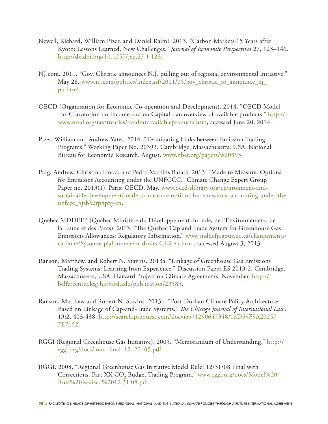- Newell, Richard, William Pizer, and Daniel Raimi. 2013. "Carbon Markets 15 Years after Kyoto: Lessons Learned, New Challenges." *Journal of Economic Perspectives* 27, 123–146. [http://dx.doi.org/10.1257/jep.27.1.123.](http://dx.doi.org/10.1257/jep.27.1.123)
- NJ.com. 2011. "Gov. Christie announces N.J. pulling out of regional environmental initiative." May 28. [www.nj.com/politics/index.ssf/2011/05/gov\\_christie\\_to\\_announce\\_nj\\_](http://www.nj.com/politics/index.ssf/2011/05/gov_christie_to_announce_nj_pu.html) [pu.html](http://www.nj.com/politics/index.ssf/2011/05/gov_christie_to_announce_nj_pu.html).
- OECD (Organisation for Economic Co-operation and Development). 2014. "OECD Model Tax Convention on Income and on Capital - an overview of available products." [http://](http://www.oecd.org/tax/treaties/oecdmtcavailableproducts.htm) [www.oecd.org/tax/treaties/oecdmtcavailableproducts.htm](http://www.oecd.org/tax/treaties/oecdmtcavailableproducts.htm), accessed June 20, 2014.
- Pizer, William and Andrew Yates. 2014. "Terminating Links between Emission Trading Programs." Working Paper No. 20393. Cambridge, Massachusetts, USA: National Bureau for Economic Research. August. [www.nber.org/papers/w20393](http://www.nber.org/papers/w20393).
- Prag, Andrew, Christina Hood, and Pedro Martins Barata. 2013. "Made to Measure: Options for Emissions Accounting under the UNFCCC." Climate Change Expert Group Paper no. 2013(1). Paris: OECD. May. [www.oecd-ilibrary.org/environment-and](http://www.oecd-ilibrary.org/environment-and-sustainable-development/made-to-measure-options-for-emissions-accounting-under-the-unfccc_5jzbb2tp8ptg-en)[sustainable-development/made-to-measure-options-for-emissions-accounting-under-the](http://www.oecd-ilibrary.org/environment-and-sustainable-development/made-to-measure-options-for-emissions-accounting-under-the-unfccc_5jzbb2tp8ptg-en)[unfccc\\_5jzbb2tp8ptg-en.](http://www.oecd-ilibrary.org/environment-and-sustainable-development/made-to-measure-options-for-emissions-accounting-under-the-unfccc_5jzbb2tp8ptg-en)
- Quebec MDDEFP (Québec Ministère du Développement durable, de l'Environnement, de la Faune et des Parcs). 2013. "The Québec Cap and Trade System for Greenhouse Gas Emissions Allowances: Regulatory Information." [www.mddefp.gouv.qc.ca/changements/](http://www.mddefp.gouv.qc.ca/changements/carbone/Systeme-plafonnement-droits-GES-en.htm) [carbone/Systeme-plafonnement-droits-GES-en.htm](http://www.mddefp.gouv.qc.ca/changements/carbone/Systeme-plafonnement-droits-GES-en.htm) , accessed August 3, 2013.
- Ranson, Matthew, and Robert N. Stavins. 2013a. "Linkage of Greenhouse Gas Emissions Trading Systems: Learning from Experience." Discussion Paper ES 2013-2. Cambridge, Massachusetts, USA: Harvard Project on Climate Agreements. November. [http://](http://belfercenter.ksg.harvard.edu/publication/23585) [belfercenter.ksg.harvard.edu/publication/23585](http://belfercenter.ksg.harvard.edu/publication/23585).
- Ranson, Matthew and Robert N. Stavins. 2013b. "Post-Durban Climate Policy Architecture Based on Linkage of Cap-and-Trade Systems." *The Chicago Journal of International Law*, 13:2, 403-438. [http://search.proquest.com/docview/1290647348/13D59F9A20257](http://search.proquest.com/docview/1290647348/13D59F9A202577E7152) [7E7152](http://search.proquest.com/docview/1290647348/13D59F9A202577E7152).
- RGGI (Regional Greenhouse Gas Initiative). 2005. "Memorandum of Understanding." [http://](http://rggi.org/docs/mou_final_12_20_05.pdf) [rggi.org/docs/mou\\_final\\_12\\_20\\_05.pdf](http://rggi.org/docs/mou_final_12_20_05.pdf).
- RGGI. 2008. "Regional Greenhouse Gas Initiative Model Rule: 12/31/08 Final with Corrections. Part XX CO<sub>2</sub> Budget Trading Program." [www.rggi.org/docs/Model%20](http://www.rggi.org/docs/Model%20Rule%20Revised%2012.31.08.pdf) [Rule%20Revised%2012.31.08.pdf.](http://www.rggi.org/docs/Model%20Rule%20Revised%2012.31.08.pdf)

**50** « FACILITATING LINKAGE OF HETEROGENEOUS REGIONAL, NATIONAL, AND SUB-NATIONAL CLIMATE POLICIES THROUGH A FUTURE INTERNATIONAL AGREEMENT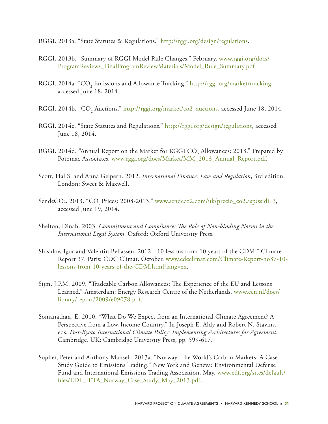- RGGI. 2013a. "State Statutes & Regulations." [http://rggi.org/design/regulations.](http://rggi.org/design/regulations)
- RGGI. 2013b. "Summary of RGGI Model Rule Changes." February. [www.rggi.org/docs/](http://www.rggi.org/docs/ProgramReview/_FinalProgramReviewMaterials/Model_Rule_Summary.pdf) [ProgramReview/\\_FinalProgramReviewMaterials/Model\\_Rule\\_Summary.pdf](http://www.rggi.org/docs/ProgramReview/_FinalProgramReviewMaterials/Model_Rule_Summary.pdf)
- RGGI. 2014a. "CO<sub>2</sub> Emissions and Allowance Tracking."<http://rggi.org/market/tracking>, accessed June 18, 2014.
- RGGI. 2014b. "CO<sub>2</sub> Auctions." [http://rggi.org/market/co2\\_auctions,](http://rggi.org/market/co2_auctions) accessed June 18, 2014.
- RGGI. 2014c. "State Statutes and Regulations." <http://rggi.org/design/regulations>, accessed June 18, 2014.
- RGGI. 2014d. "Annual Report on the Market for RGGI CO $_{\textrm{\tiny{2}}}$  Allowances: 2013." Prepared by Potomac Associates. [www.rggi.org/docs/Market/MM\\_2013\\_Annual\\_Report.pdf.](http://www.rggi.org/docs/Market/MM_2013_Annual_Report.pdf)
- Scott, Hal S. and Anna Gelpern. 2012. *International Finance: Law and Regulation*, 3rd edition. London: Sweet & Maxwell.
- SendeCO<sub>2</sub>. 2013. "CO<sub>2</sub> Prices: 2008-2013." [www.sendeco2.com/uk/precio\\_co2.asp?ssidi=3](http://www.sendeco2.com/uk/precio_co2.asp?ssidi=3), accessed June 19, 2014.
- Shelton, Dinah. 2003. *Commitment and Compliance: The Role of Non-binding Norms in the International Legal System*. Oxford: Oxford University Press.
- Shishlov, Igor and Valentin Bellassen. 2012. "10 lessons from 10 years of the CDM." Climate Report 37. Paris: CDC Climat. October. [www.cdcclimat.com/Climate-Report-no37-10](http://www.cdcclimat.com/Climate-Report-no37-10-lessons-from-10-years-of-the-CDM.html?lang=en) [lessons-from-10-years-of-the-CDM.html?lang=en.](http://www.cdcclimat.com/Climate-Report-no37-10-lessons-from-10-years-of-the-CDM.html?lang=en)
- Sijm, J.P.M. 2009. "Tradeable Carbon Allowances: The Experience of the EU and Lessons Learned." Amsterdam: Energy Research Centre of the Netherlands. [www.ecn.nl/docs/](http://www.ecn.nl/docs/library/report/2009/e09078.pdf) [library/report/2009/e09078.pdf.](http://www.ecn.nl/docs/library/report/2009/e09078.pdf)
- Somanathan, E. 2010. "What Do We Expect from an International Climate Agreement? A Perspective from a Low-Income Country." In Joseph E. Aldy and Robert N. Stavins, eds, *Post-Kyoto International Climate Policy: Implementing Architectures for Agreement*. Cambridge, UK: Cambridge University Press, pp. 599-617.
- Sopher, Peter and Anthony Mansell. 2013a. "Norway: The World's Carbon Markets: A Case Study Guide to Emissions Trading." New York and Geneva: Environmental Defense Fund and International Emissions Trading Association. May. [www.edf.org/sites/default/](http://www.edf.org/sites/default/files/EDF_IETA_Norway_Case_Study_May_2013.pdf) [files/EDF\\_IETA\\_Norway\\_Case\\_Study\\_May\\_2013.pdf,](http://www.edf.org/sites/default/files/EDF_IETA_Norway_Case_Study_May_2013.pdf).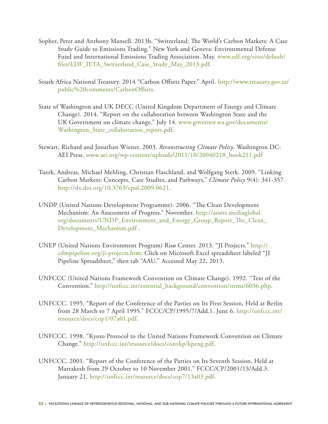- Sopher, Peter and Anthony Mansell. 2013b. "Switzerland: The World's Carbon Markets: A Case Study Guide to Emissions Trading." New York and Geneva: Environmental Defense Fund and International Emissions Trading Association. May. [www.edf.org/sites/default/](http://www.edf.org/sites/default/files/EDF_IETA_Switzerland_Case_Study_May_2013.pdf) [files/EDF\\_IETA\\_Switzerland\\_Case\\_Study\\_May\\_2013.pdf.](http://www.edf.org/sites/default/files/EDF_IETA_Switzerland_Case_Study_May_2013.pdf)
- South Africa National Treasury. 2014 "Carbon Offsets Paper." April. [http://www.treasury.gov.za/](http://www.treasury.gov.za/public%20comments/CarbonOffsets) [public%20comments/CarbonOffsets](http://www.treasury.gov.za/public%20comments/CarbonOffsets).
- State of Washington and UK DECC (United Kingdom Department of Energy and Climate Change). 2014. "Report on the collaboration between Washington State and the UK Government on climate change." July 14. [www.governor.wa.gov/documents/](http://www.governor.wa.gov/documents/Washington_State_collaboration_report.pdf) [Washington\\_State\\_collaboration\\_report.pdf](http://www.governor.wa.gov/documents/Washington_State_collaboration_report.pdf).
- Stewart, Richard and Jonathan Wiener. 2003. *Reconstructing Climate Policy*. Washington DC: AEI Press. www.aei.org/wp-content/uploads/2011/10/20040218\_book211.pdf
- Tuerk, Andreas, Michael Mehling, Christian Flaschland, and Wolfgang Sterk. 2009. "Linking Carbon Markets: Concepts, Case Studies, and Pathways," *Climate Policy* 9(4): 341-357. <http://dx.doi.org/10.3763/cpol.2009.0621>.
- UNDP (United Nations Development Programme). 2006. "The Clean Development Mechanism: An Assessment of Progress." November. [http://assets.mediaglobal.](http://assets.mediaglobal.org/documents/UNDP_Environment_and_Energy_Group_Report_The_Clean_Development_Mechanism.pdf) [org/documents/UNDP\\_Environment\\_and\\_Energy\\_Group\\_Report\\_The\\_Clean\\_](http://assets.mediaglobal.org/documents/UNDP_Environment_and_Energy_Group_Report_The_Clean_Development_Mechanism.pdf) [Development\\_Mechanism.pdf](http://assets.mediaglobal.org/documents/UNDP_Environment_and_Energy_Group_Report_The_Clean_Development_Mechanism.pdf) .
- UNEP (United Nations Environment Program) Risø Center. 2013. "JI Projects." [http://](http://cdmpipeline.org/ji-projects.htm) [cdmpipeline.org/ji-projects.htm](http://cdmpipeline.org/ji-projects.htm). Click on Microsoft Excel spreadsheet labeled "JI Pipeline Spreadsheet," then tab "AAU." Accessed May 22, 2013.
- UNFCCC (United Nations Framework Convention on Climate Change). 1992. "Text of the Convention." [http://unfccc.int/essential\\_background/convention/items/6036.php.](http://unfccc.int/essential_background/convention/items/6036.php)
- UNFCCC. 1995. "Report of the Conference of the Parties on Its First Session, Held at Berlin from 28 March to 7 April 1995." FCCC/CP/1995/7/Add.1. June 6. [http://unfccc.int/](http://unfccc.int/resource/docs/cop1/07a01.pdf) [resource/docs/cop1/07a01.pdf](http://unfccc.int/resource/docs/cop1/07a01.pdf).
- UNFCCC. 1998. "Kyoto Protocol to the United Nations Framework Convention on Climate Change." <http://unfccc.int/resource/docs/convkp/kpeng.pdf>.
- UNFCCC. 2001. "Report of the Conference of the Parties on Its Seventh Session, Held at Marrakesh from 29 October to 10 November 2001." FCCC/CP/2001/13/Add.3. January 21.<http://unfccc.int/resource/docs/cop7/13a03.pdf>.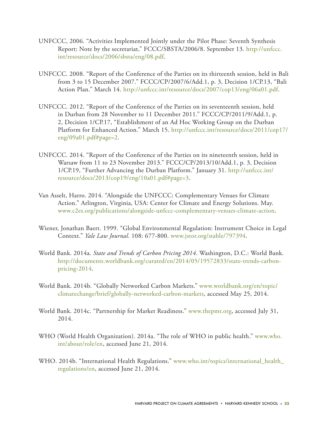- UNFCCC, 2006. "Activities Implemented Jointly under the Pilot Phase: Seventh Synthesis Report: Note by the secretariat," FCCC/SBSTA/2006/8. September 13. [http://unfccc.](http://unfccc.int/resource/docs/2006/sbsta/eng/08.pdf) [int/resource/docs/2006/sbsta/eng/08.pdf.](http://unfccc.int/resource/docs/2006/sbsta/eng/08.pdf)
- UNFCCC. 2008. "Report of the Conference of the Parties on its thirteenth session, held in Bali from 3 to 15 December 2007." FCCC/CP/2007/6/Add.1, p. 3, Decision 1/CP.13, "Bali Action Plan." March 14. [http://unfccc.int/resource/docs/2007/cop13/eng/06a01.pdf.](http://unfccc.int/resource/docs/2007/cop13/eng/06a01.pdf)
- UNFCCC. 2012. "Report of the Conference of the Parties on its seventeenth session, held in Durban from 28 November to 11 December 2011." FCCC/CP/2011/9/Add.1, p. 2, Decision 1/CP.17, "Establishment of an Ad Hoc Working Group on the Durban Platform for Enhanced Action." March 15. http://unfccc.int/resource/docs/2011/cop17/ eng/09a01.pdf#page=2.
- UNFCCC. 2014. "Report of the Conference of the Parties on its nineteenth session, held in Warsaw from 11 to 23 November 2013." FCCC/CP/2013/10/Add.1, p. 3, Decision 1/CP.19, "Further Advancing the Durban Platform." January 31. http://unfccc.int/ resource/docs/2013/cop19/eng/10a01.pdf#page=3.
- Van Asselt, Harro. 2014. "Alongside the UNFCCC: Complementary Venues for Climate Action." Arlington, Virginia, USA: Center for Climate and Energy Solutions. May. [www.c2es.org/publications/alongside-unfccc-complementary-venues-climate-action.](http://www.c2es.org/publications/alongside-unfccc-complementary-venues-climate-action)
- Wiener, Jonathan Baert. 1999. "Global Environmental Regulation: Instrument Choice in Legal Context." *Yale Law Journal*. 108: 677-800. [www.jstor.org/stable/797394.](http://www.jstor.org/stable/797394)
- World Bank. 2014a. *State and Trends of Carbon Pricing 2014*. Washington, D.C.: World Bank. [http://documents.worldbank.org/curated/en/2014/05/19572833/state-trends-carbon](http://documents.worldbank.org/curated/en/2014/05/19572833/state-trends-carbon-pricing-2014)[pricing-2014](http://documents.worldbank.org/curated/en/2014/05/19572833/state-trends-carbon-pricing-2014).
- World Bank. 2014b. "Globally Networked Carbon Markets." [www.worldbank.org/en/topic/](http://www.worldbank.org/en/topic/climatechange/brief/globally-networked-carbon-markets) [climatechange/brief/globally-networked-carbon-markets](http://www.worldbank.org/en/topic/climatechange/brief/globally-networked-carbon-markets), accessed May 25, 2014.
- World Bank. 2014c. "Partnership for Market Readiness." [www.thepmr.org,](http://www.thepmr.org) accessed July 31, 2014.
- WHO (World Health Organization). 2014a. "The role of WHO in public health." [www.who.](http://www.who.int/about/role/en/) [int/about/role/en,](http://www.who.int/about/role/en/) accessed June 21, 2014.
- WHO. 2014b. "International Health Regulations." [www.who.int/topics/international\\_health\\_](http://www.who.int/topics/international_health_regulations/en) [regulations/en](http://www.who.int/topics/international_health_regulations/en), accessed June 21, 2014.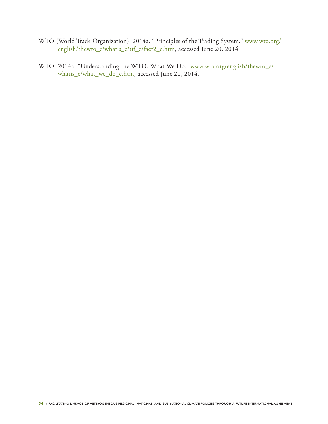- WTO (World Trade Organization). 2014a. "Principles of the Trading System." [www.wto.org/](http://www.wto.org/english/thewto_e/whatis_e/tif_e/fact2_e.htm) [english/thewto\\_e/whatis\\_e/tif\\_e/fact2\\_e.htm,](http://www.wto.org/english/thewto_e/whatis_e/tif_e/fact2_e.htm) accessed June 20, 2014.
- WTO. 2014b. "Understanding the WTO: What We Do." [www.wto.org/english/thewto\\_e/](http://www.wto.org/english/thewto_e/whatis_e/what_we_do_e.htm) [whatis\\_e/what\\_we\\_do\\_e.htm](http://www.wto.org/english/thewto_e/whatis_e/what_we_do_e.htm), accessed June 20, 2014.